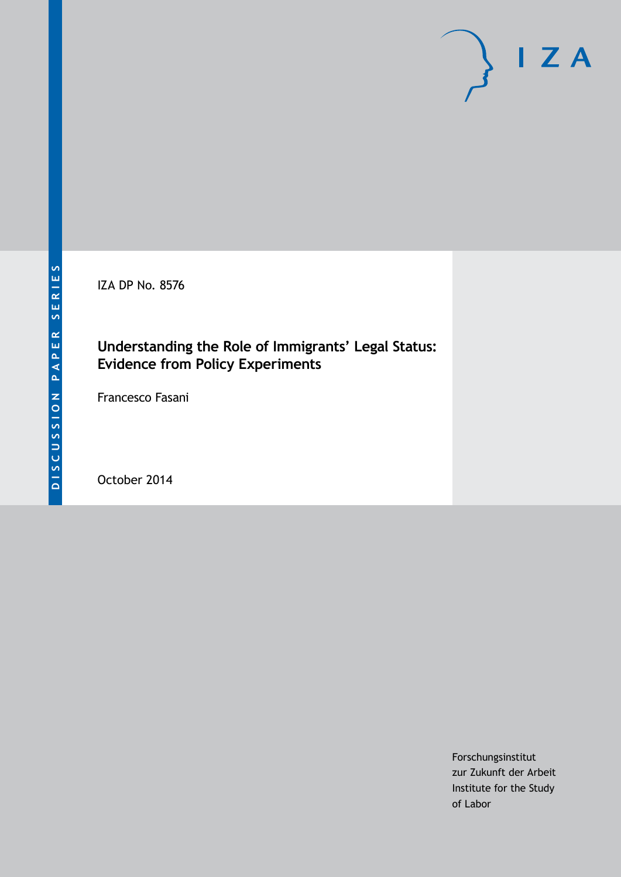IZA DP No. 8576

## **Understanding the Role of Immigrants' Legal Status: Evidence from Policy Experiments**

Francesco Fasani

October 2014

Forschungsinstitut zur Zukunft der Arbeit Institute for the Study of Labor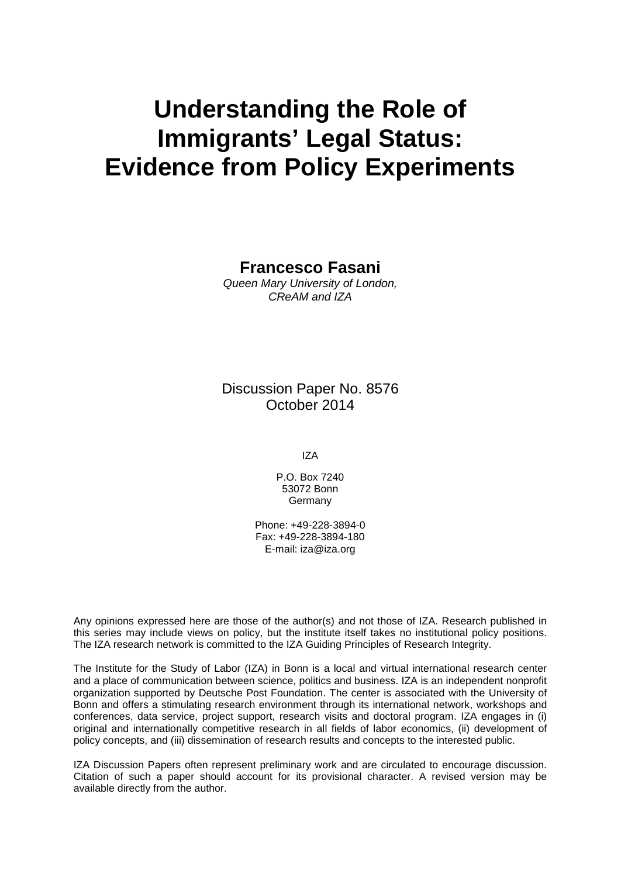# **Understanding the Role of Immigrants' Legal Status: Evidence from Policy Experiments**

**Francesco Fasani**

*Queen Mary University of London, CReAM and IZA*

Discussion Paper No. 8576 October 2014

IZA

P.O. Box 7240 53072 Bonn **Germany** 

Phone: +49-228-3894-0 Fax: +49-228-3894-180 E-mail: [iza@iza.org](mailto:iza@iza.org)

Any opinions expressed here are those of the author(s) and not those of IZA. Research published in this series may include views on policy, but the institute itself takes no institutional policy positions. The IZA research network is committed to the IZA Guiding Principles of Research Integrity.

The Institute for the Study of Labor (IZA) in Bonn is a local and virtual international research center and a place of communication between science, politics and business. IZA is an independent nonprofit organization supported by Deutsche Post Foundation. The center is associated with the University of Bonn and offers a stimulating research environment through its international network, workshops and conferences, data service, project support, research visits and doctoral program. IZA engages in (i) original and internationally competitive research in all fields of labor economics, (ii) development of policy concepts, and (iii) dissemination of research results and concepts to the interested public.

<span id="page-1-0"></span>IZA Discussion Papers often represent preliminary work and are circulated to encourage discussion. Citation of such a paper should account for its provisional character. A revised version may be available directly from the author.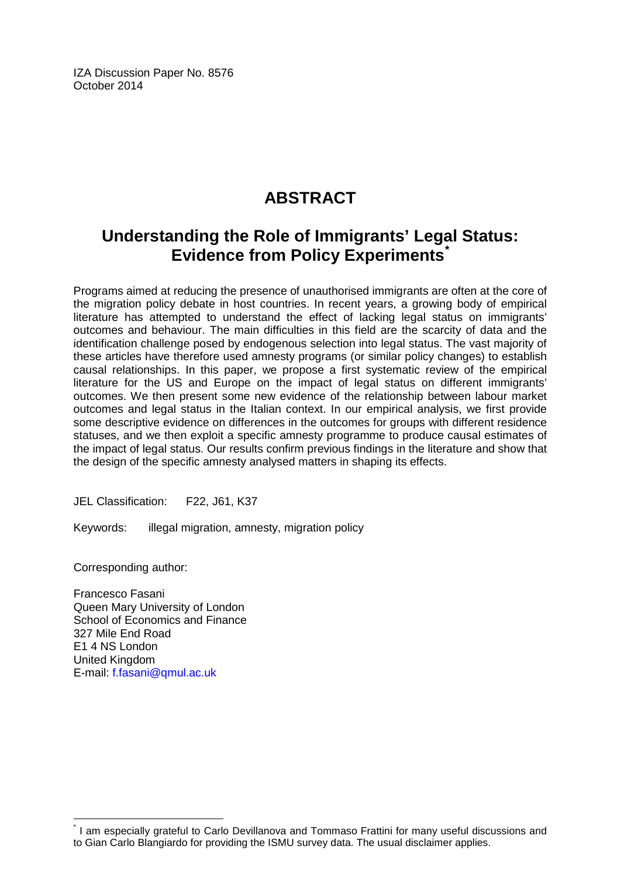IZA Discussion Paper No. 8576 October 2014

## **ABSTRACT**

## **Understanding the Role of Immigrants' Legal Status: Evidence from Policy Experiments[\\*](#page-1-0)**

Programs aimed at reducing the presence of unauthorised immigrants are often at the core of the migration policy debate in host countries. In recent years, a growing body of empirical literature has attempted to understand the effect of lacking legal status on immigrants' outcomes and behaviour. The main difficulties in this field are the scarcity of data and the identification challenge posed by endogenous selection into legal status. The vast majority of these articles have therefore used amnesty programs (or similar policy changes) to establish causal relationships. In this paper, we propose a first systematic review of the empirical literature for the US and Europe on the impact of legal status on different immigrants' outcomes. We then present some new evidence of the relationship between labour market outcomes and legal status in the Italian context. In our empirical analysis, we first provide some descriptive evidence on differences in the outcomes for groups with different residence statuses, and we then exploit a specific amnesty programme to produce causal estimates of the impact of legal status. Our results confirm previous findings in the literature and show that the design of the specific amnesty analysed matters in shaping its effects.

JEL Classification: F22, J61, K37

Keywords: illegal migration, amnesty, migration policy

Corresponding author:

Francesco Fasani Queen Mary University of London School of Economics and Finance 327 Mile End Road E1 4 NS London United Kingdom E-mail: [f.fasani@qmul.ac.uk](mailto:f.fasani@qmul.ac.uk)

\* I am especially grateful to Carlo Devillanova and Tommaso Frattini for many useful discussions and to Gian Carlo Blangiardo for providing the ISMU survey data. The usual disclaimer applies.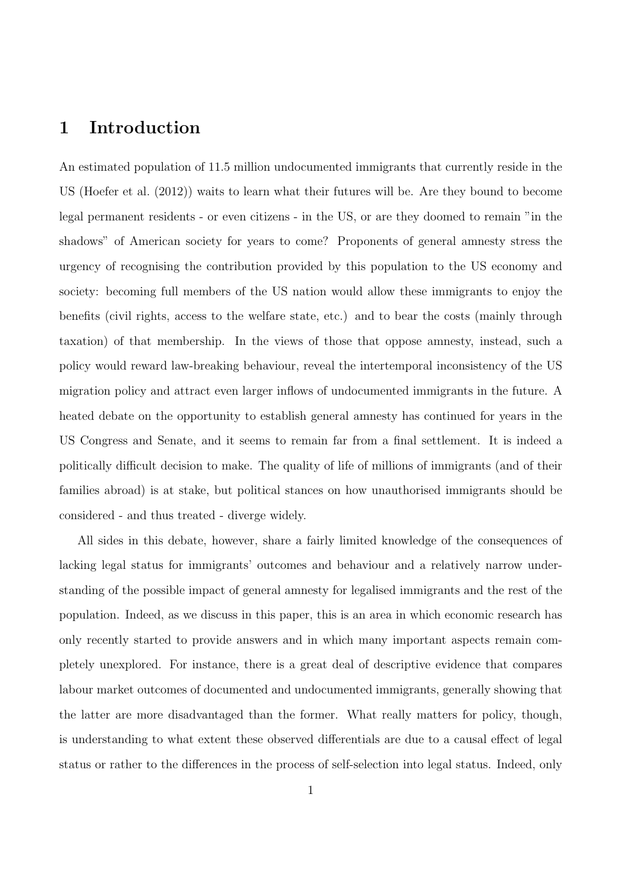## 1 Introduction

An estimated population of 11.5 million undocumented immigrants that currently reside in the US (Hoefer et al. (2012)) waits to learn what their futures will be. Are they bound to become legal permanent residents - or even citizens - in the US, or are they doomed to remain "in the shadows" of American society for years to come? Proponents of general amnesty stress the urgency of recognising the contribution provided by this population to the US economy and society: becoming full members of the US nation would allow these immigrants to enjoy the benefits (civil rights, access to the welfare state, etc.) and to bear the costs (mainly through taxation) of that membership. In the views of those that oppose amnesty, instead, such a policy would reward law-breaking behaviour, reveal the intertemporal inconsistency of the US migration policy and attract even larger inflows of undocumented immigrants in the future. A heated debate on the opportunity to establish general amnesty has continued for years in the US Congress and Senate, and it seems to remain far from a final settlement. It is indeed a politically difficult decision to make. The quality of life of millions of immigrants (and of their families abroad) is at stake, but political stances on how unauthorised immigrants should be considered - and thus treated - diverge widely.

All sides in this debate, however, share a fairly limited knowledge of the consequences of lacking legal status for immigrants' outcomes and behaviour and a relatively narrow understanding of the possible impact of general amnesty for legalised immigrants and the rest of the population. Indeed, as we discuss in this paper, this is an area in which economic research has only recently started to provide answers and in which many important aspects remain completely unexplored. For instance, there is a great deal of descriptive evidence that compares labour market outcomes of documented and undocumented immigrants, generally showing that the latter are more disadvantaged than the former. What really matters for policy, though, is understanding to what extent these observed differentials are due to a causal effect of legal status or rather to the differences in the process of self-selection into legal status. Indeed, only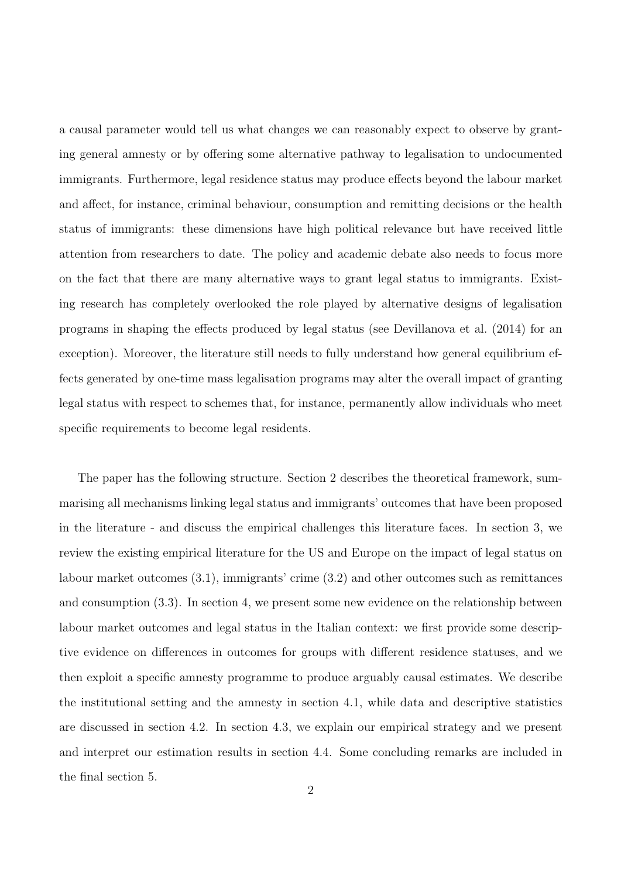a causal parameter would tell us what changes we can reasonably expect to observe by granting general amnesty or by offering some alternative pathway to legalisation to undocumented immigrants. Furthermore, legal residence status may produce effects beyond the labour market and affect, for instance, criminal behaviour, consumption and remitting decisions or the health status of immigrants: these dimensions have high political relevance but have received little attention from researchers to date. The policy and academic debate also needs to focus more on the fact that there are many alternative ways to grant legal status to immigrants. Existing research has completely overlooked the role played by alternative designs of legalisation programs in shaping the effects produced by legal status (see Devillanova et al. (2014) for an exception). Moreover, the literature still needs to fully understand how general equilibrium effects generated by one-time mass legalisation programs may alter the overall impact of granting legal status with respect to schemes that, for instance, permanently allow individuals who meet specific requirements to become legal residents.

The paper has the following structure. Section 2 describes the theoretical framework, summarising all mechanisms linking legal status and immigrants' outcomes that have been proposed in the literature - and discuss the empirical challenges this literature faces. In section 3, we review the existing empirical literature for the US and Europe on the impact of legal status on labour market outcomes (3.1), immigrants' crime (3.2) and other outcomes such as remittances and consumption (3.3). In section 4, we present some new evidence on the relationship between labour market outcomes and legal status in the Italian context: we first provide some descriptive evidence on differences in outcomes for groups with different residence statuses, and we then exploit a specific amnesty programme to produce arguably causal estimates. We describe the institutional setting and the amnesty in section 4.1, while data and descriptive statistics are discussed in section 4.2. In section 4.3, we explain our empirical strategy and we present and interpret our estimation results in section 4.4. Some concluding remarks are included in the final section 5.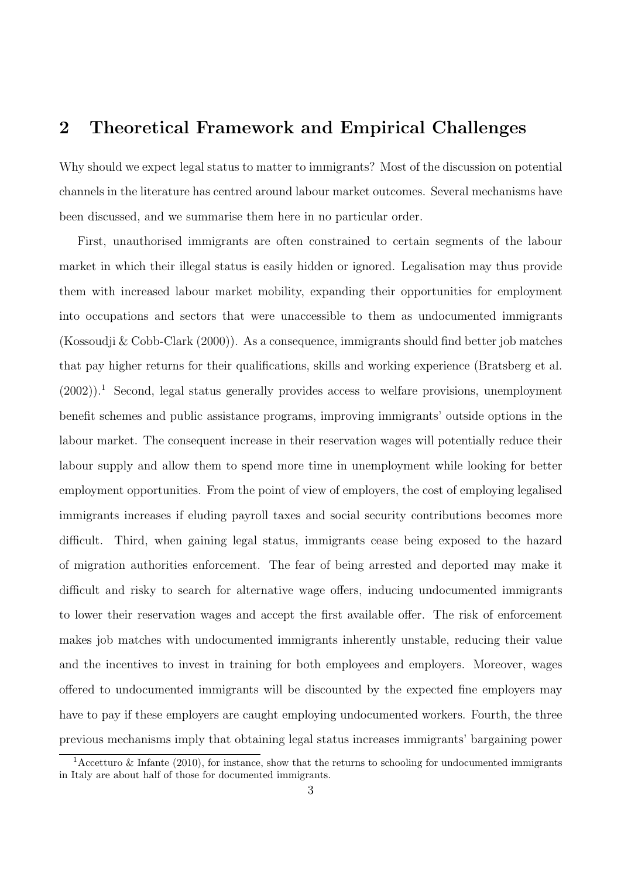### 2 Theoretical Framework and Empirical Challenges

Why should we expect legal status to matter to immigrants? Most of the discussion on potential channels in the literature has centred around labour market outcomes. Several mechanisms have been discussed, and we summarise them here in no particular order.

First, unauthorised immigrants are often constrained to certain segments of the labour market in which their illegal status is easily hidden or ignored. Legalisation may thus provide them with increased labour market mobility, expanding their opportunities for employment into occupations and sectors that were unaccessible to them as undocumented immigrants (Kossoudji & Cobb-Clark (2000)). As a consequence, immigrants should find better job matches that pay higher returns for their qualifications, skills and working experience (Bratsberg et al.  $(2002)$ ).<sup>1</sup> Second, legal status generally provides access to welfare provisions, unemployment benefit schemes and public assistance programs, improving immigrants' outside options in the labour market. The consequent increase in their reservation wages will potentially reduce their labour supply and allow them to spend more time in unemployment while looking for better employment opportunities. From the point of view of employers, the cost of employing legalised immigrants increases if eluding payroll taxes and social security contributions becomes more difficult. Third, when gaining legal status, immigrants cease being exposed to the hazard of migration authorities enforcement. The fear of being arrested and deported may make it difficult and risky to search for alternative wage offers, inducing undocumented immigrants to lower their reservation wages and accept the first available offer. The risk of enforcement makes job matches with undocumented immigrants inherently unstable, reducing their value and the incentives to invest in training for both employees and employers. Moreover, wages offered to undocumented immigrants will be discounted by the expected fine employers may have to pay if these employers are caught employing undocumented workers. Fourth, the three previous mechanisms imply that obtaining legal status increases immigrants' bargaining power

<sup>&</sup>lt;sup>1</sup>Accetturo & Infante (2010), for instance, show that the returns to schooling for undocumented immigrants in Italy are about half of those for documented immigrants.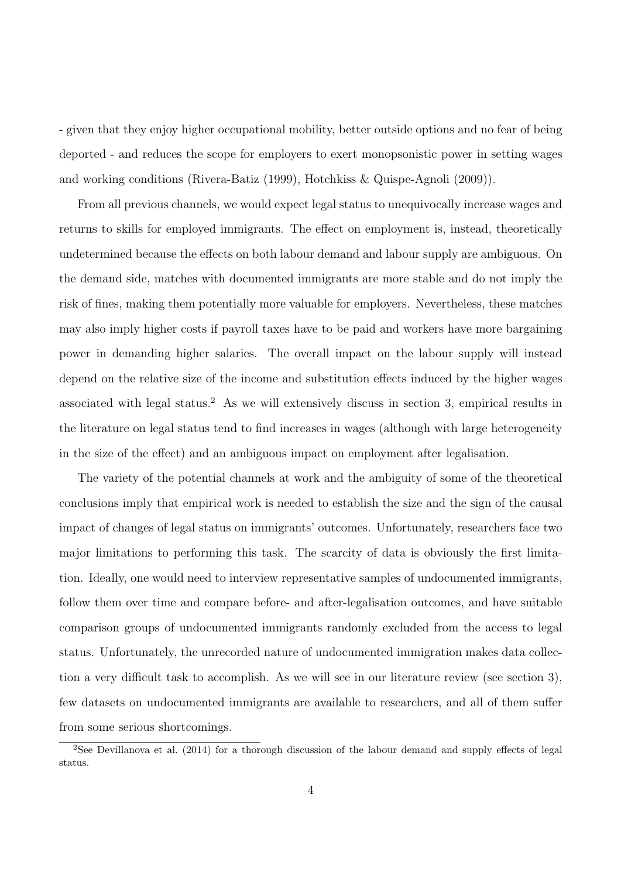- given that they enjoy higher occupational mobility, better outside options and no fear of being deported - and reduces the scope for employers to exert monopsonistic power in setting wages and working conditions (Rivera-Batiz (1999), Hotchkiss & Quispe-Agnoli (2009)).

From all previous channels, we would expect legal status to unequivocally increase wages and returns to skills for employed immigrants. The effect on employment is, instead, theoretically undetermined because the effects on both labour demand and labour supply are ambiguous. On the demand side, matches with documented immigrants are more stable and do not imply the risk of fines, making them potentially more valuable for employers. Nevertheless, these matches may also imply higher costs if payroll taxes have to be paid and workers have more bargaining power in demanding higher salaries. The overall impact on the labour supply will instead depend on the relative size of the income and substitution effects induced by the higher wages associated with legal status.<sup>2</sup> As we will extensively discuss in section 3, empirical results in the literature on legal status tend to find increases in wages (although with large heterogeneity in the size of the effect) and an ambiguous impact on employment after legalisation.

The variety of the potential channels at work and the ambiguity of some of the theoretical conclusions imply that empirical work is needed to establish the size and the sign of the causal impact of changes of legal status on immigrants' outcomes. Unfortunately, researchers face two major limitations to performing this task. The scarcity of data is obviously the first limitation. Ideally, one would need to interview representative samples of undocumented immigrants, follow them over time and compare before- and after-legalisation outcomes, and have suitable comparison groups of undocumented immigrants randomly excluded from the access to legal status. Unfortunately, the unrecorded nature of undocumented immigration makes data collection a very difficult task to accomplish. As we will see in our literature review (see section 3), few datasets on undocumented immigrants are available to researchers, and all of them suffer from some serious shortcomings.

<sup>&</sup>lt;sup>2</sup>See Devillanova et al. (2014) for a thorough discussion of the labour demand and supply effects of legal status.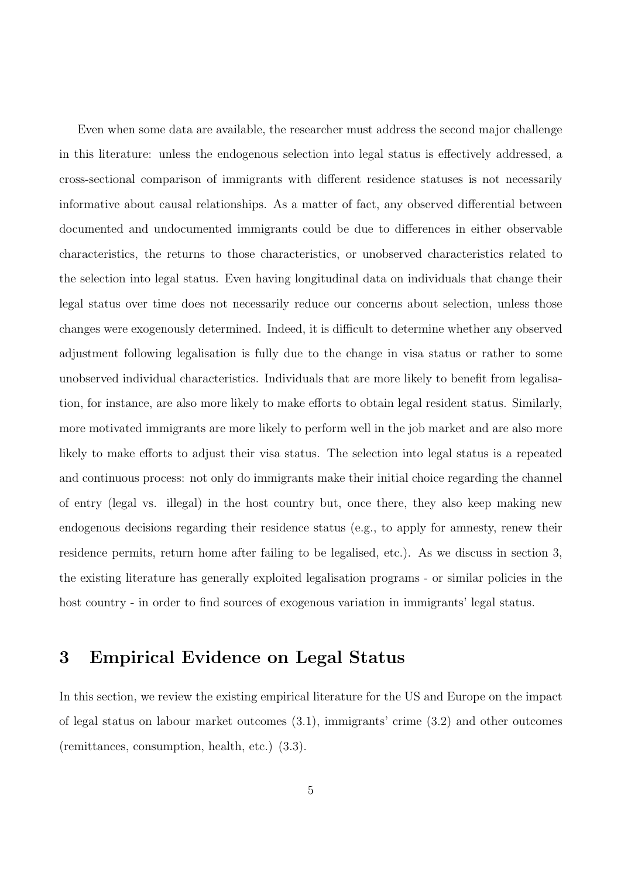Even when some data are available, the researcher must address the second major challenge in this literature: unless the endogenous selection into legal status is effectively addressed, a cross-sectional comparison of immigrants with different residence statuses is not necessarily informative about causal relationships. As a matter of fact, any observed differential between documented and undocumented immigrants could be due to differences in either observable characteristics, the returns to those characteristics, or unobserved characteristics related to the selection into legal status. Even having longitudinal data on individuals that change their legal status over time does not necessarily reduce our concerns about selection, unless those changes were exogenously determined. Indeed, it is difficult to determine whether any observed adjustment following legalisation is fully due to the change in visa status or rather to some unobserved individual characteristics. Individuals that are more likely to benefit from legalisation, for instance, are also more likely to make efforts to obtain legal resident status. Similarly, more motivated immigrants are more likely to perform well in the job market and are also more likely to make efforts to adjust their visa status. The selection into legal status is a repeated and continuous process: not only do immigrants make their initial choice regarding the channel of entry (legal vs. illegal) in the host country but, once there, they also keep making new endogenous decisions regarding their residence status (e.g., to apply for amnesty, renew their residence permits, return home after failing to be legalised, etc.). As we discuss in section 3, the existing literature has generally exploited legalisation programs - or similar policies in the host country - in order to find sources of exogenous variation in immigrants' legal status.

### 3 Empirical Evidence on Legal Status

In this section, we review the existing empirical literature for the US and Europe on the impact of legal status on labour market outcomes (3.1), immigrants' crime (3.2) and other outcomes (remittances, consumption, health, etc.) (3.3).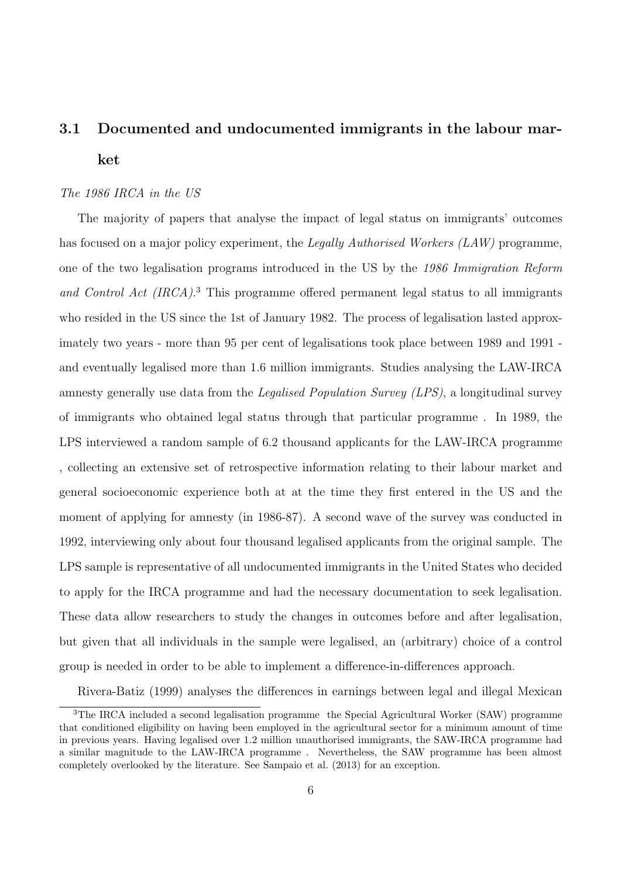## 3.1 Documented and undocumented immigrants in the labour market

#### The 1986 IRCA in the US

The majority of papers that analyse the impact of legal status on immigrants' outcomes has focused on a major policy experiment, the Legally Authorised Workers (LAW) programme, one of the two legalisation programs introduced in the US by the 1986 Immigration Reform and Control Act (IRCA).<sup>3</sup> This programme offered permanent legal status to all immigrants who resided in the US since the 1st of January 1982. The process of legalisation lasted approximately two years - more than 95 per cent of legalisations took place between 1989 and 1991 and eventually legalised more than 1.6 million immigrants. Studies analysing the LAW-IRCA amnesty generally use data from the Legalised Population Survey (LPS), a longitudinal survey of immigrants who obtained legal status through that particular programme . In 1989, the LPS interviewed a random sample of 6.2 thousand applicants for the LAW-IRCA programme , collecting an extensive set of retrospective information relating to their labour market and general socioeconomic experience both at at the time they first entered in the US and the moment of applying for amnesty (in 1986-87). A second wave of the survey was conducted in 1992, interviewing only about four thousand legalised applicants from the original sample. The LPS sample is representative of all undocumented immigrants in the United States who decided to apply for the IRCA programme and had the necessary documentation to seek legalisation. These data allow researchers to study the changes in outcomes before and after legalisation, but given that all individuals in the sample were legalised, an (arbitrary) choice of a control group is needed in order to be able to implement a difference-in-differences approach.

Rivera-Batiz (1999) analyses the differences in earnings between legal and illegal Mexican

<sup>&</sup>lt;sup>3</sup>The IRCA included a second legalisation programme the Special Agricultural Worker (SAW) programme that conditioned eligibility on having been employed in the agricultural sector for a minimum amount of time in previous years. Having legalised over 1.2 million unauthorised immigrants, the SAW-IRCA programme had a similar magnitude to the LAW-IRCA programme . Nevertheless, the SAW programme has been almost completely overlooked by the literature. See Sampaio et al. (2013) for an exception.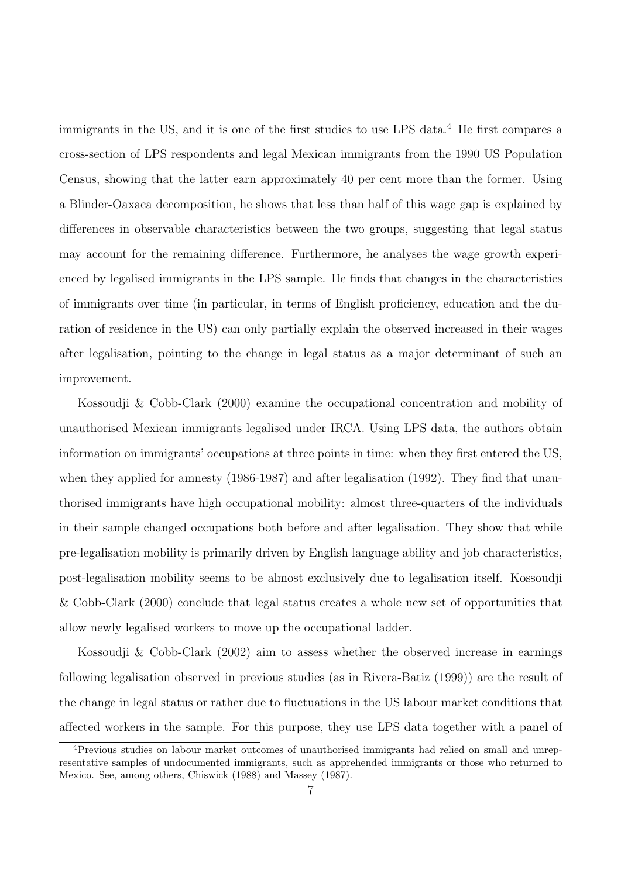immigrants in the US, and it is one of the first studies to use LPS data.<sup>4</sup> He first compares a cross-section of LPS respondents and legal Mexican immigrants from the 1990 US Population Census, showing that the latter earn approximately 40 per cent more than the former. Using a Blinder-Oaxaca decomposition, he shows that less than half of this wage gap is explained by differences in observable characteristics between the two groups, suggesting that legal status may account for the remaining difference. Furthermore, he analyses the wage growth experienced by legalised immigrants in the LPS sample. He finds that changes in the characteristics of immigrants over time (in particular, in terms of English proficiency, education and the duration of residence in the US) can only partially explain the observed increased in their wages after legalisation, pointing to the change in legal status as a major determinant of such an improvement.

Kossoudji & Cobb-Clark (2000) examine the occupational concentration and mobility of unauthorised Mexican immigrants legalised under IRCA. Using LPS data, the authors obtain information on immigrants' occupations at three points in time: when they first entered the US, when they applied for amnesty (1986-1987) and after legalisation (1992). They find that unauthorised immigrants have high occupational mobility: almost three-quarters of the individuals in their sample changed occupations both before and after legalisation. They show that while pre-legalisation mobility is primarily driven by English language ability and job characteristics, post-legalisation mobility seems to be almost exclusively due to legalisation itself. Kossoudji & Cobb-Clark (2000) conclude that legal status creates a whole new set of opportunities that allow newly legalised workers to move up the occupational ladder.

Kossoudji & Cobb-Clark (2002) aim to assess whether the observed increase in earnings following legalisation observed in previous studies (as in Rivera-Batiz (1999)) are the result of the change in legal status or rather due to fluctuations in the US labour market conditions that affected workers in the sample. For this purpose, they use LPS data together with a panel of

<sup>4</sup>Previous studies on labour market outcomes of unauthorised immigrants had relied on small and unrepresentative samples of undocumented immigrants, such as apprehended immigrants or those who returned to Mexico. See, among others, Chiswick (1988) and Massey (1987).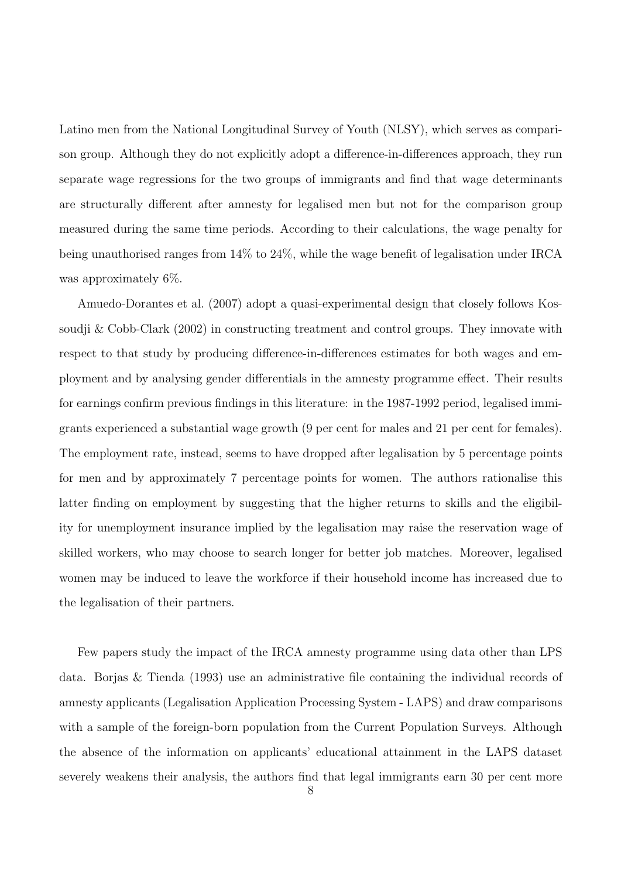Latino men from the National Longitudinal Survey of Youth (NLSY), which serves as comparison group. Although they do not explicitly adopt a difference-in-differences approach, they run separate wage regressions for the two groups of immigrants and find that wage determinants are structurally different after amnesty for legalised men but not for the comparison group measured during the same time periods. According to their calculations, the wage penalty for being unauthorised ranges from 14% to 24%, while the wage benefit of legalisation under IRCA was approximately 6%.

Amuedo-Dorantes et al. (2007) adopt a quasi-experimental design that closely follows Kossoudji & Cobb-Clark (2002) in constructing treatment and control groups. They innovate with respect to that study by producing difference-in-differences estimates for both wages and employment and by analysing gender differentials in the amnesty programme effect. Their results for earnings confirm previous findings in this literature: in the 1987-1992 period, legalised immigrants experienced a substantial wage growth (9 per cent for males and 21 per cent for females). The employment rate, instead, seems to have dropped after legalisation by 5 percentage points for men and by approximately 7 percentage points for women. The authors rationalise this latter finding on employment by suggesting that the higher returns to skills and the eligibility for unemployment insurance implied by the legalisation may raise the reservation wage of skilled workers, who may choose to search longer for better job matches. Moreover, legalised women may be induced to leave the workforce if their household income has increased due to the legalisation of their partners.

Few papers study the impact of the IRCA amnesty programme using data other than LPS data. Borjas & Tienda (1993) use an administrative file containing the individual records of amnesty applicants (Legalisation Application Processing System - LAPS) and draw comparisons with a sample of the foreign-born population from the Current Population Surveys. Although the absence of the information on applicants' educational attainment in the LAPS dataset severely weakens their analysis, the authors find that legal immigrants earn 30 per cent more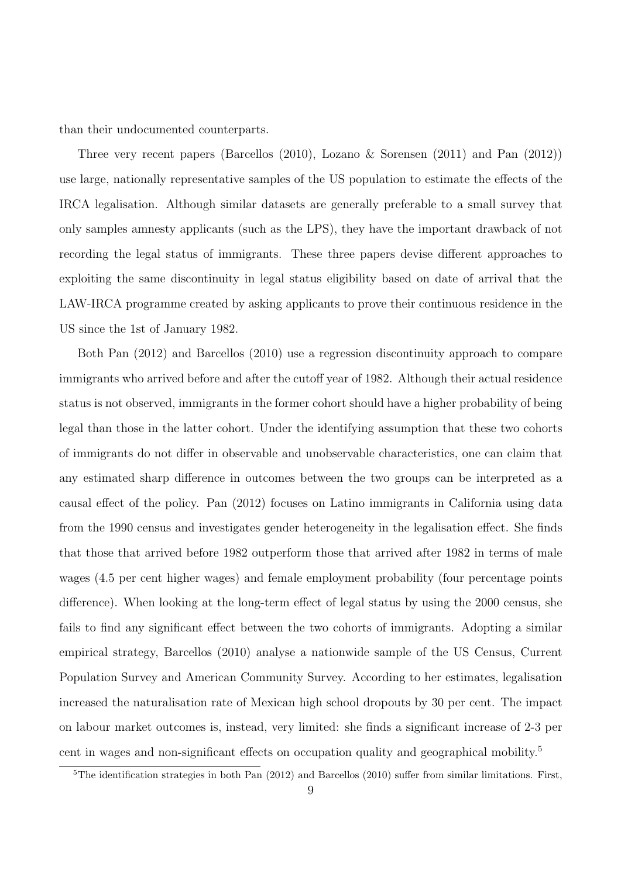than their undocumented counterparts.

Three very recent papers (Barcellos (2010), Lozano & Sorensen (2011) and Pan (2012)) use large, nationally representative samples of the US population to estimate the effects of the IRCA legalisation. Although similar datasets are generally preferable to a small survey that only samples amnesty applicants (such as the LPS), they have the important drawback of not recording the legal status of immigrants. These three papers devise different approaches to exploiting the same discontinuity in legal status eligibility based on date of arrival that the LAW-IRCA programme created by asking applicants to prove their continuous residence in the US since the 1st of January 1982.

Both Pan (2012) and Barcellos (2010) use a regression discontinuity approach to compare immigrants who arrived before and after the cutoff year of 1982. Although their actual residence status is not observed, immigrants in the former cohort should have a higher probability of being legal than those in the latter cohort. Under the identifying assumption that these two cohorts of immigrants do not differ in observable and unobservable characteristics, one can claim that any estimated sharp difference in outcomes between the two groups can be interpreted as a causal effect of the policy. Pan (2012) focuses on Latino immigrants in California using data from the 1990 census and investigates gender heterogeneity in the legalisation effect. She finds that those that arrived before 1982 outperform those that arrived after 1982 in terms of male wages (4.5 per cent higher wages) and female employment probability (four percentage points difference). When looking at the long-term effect of legal status by using the 2000 census, she fails to find any significant effect between the two cohorts of immigrants. Adopting a similar empirical strategy, Barcellos (2010) analyse a nationwide sample of the US Census, Current Population Survey and American Community Survey. According to her estimates, legalisation increased the naturalisation rate of Mexican high school dropouts by 30 per cent. The impact on labour market outcomes is, instead, very limited: she finds a significant increase of 2-3 per cent in wages and non-significant effects on occupation quality and geographical mobility.<sup>5</sup>

<sup>&</sup>lt;sup>5</sup>The identification strategies in both Pan (2012) and Barcellos (2010) suffer from similar limitations. First,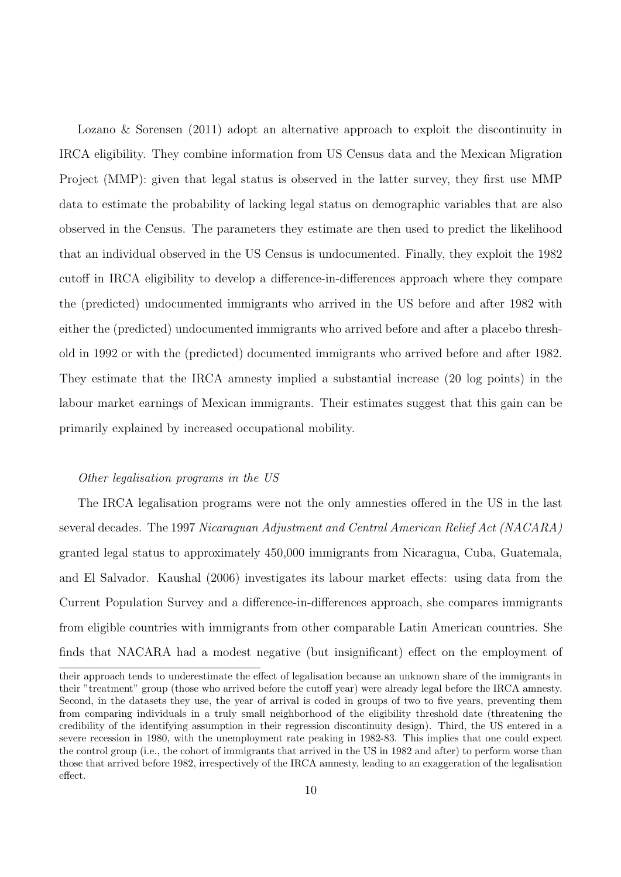Lozano & Sorensen (2011) adopt an alternative approach to exploit the discontinuity in IRCA eligibility. They combine information from US Census data and the Mexican Migration Project (MMP): given that legal status is observed in the latter survey, they first use MMP data to estimate the probability of lacking legal status on demographic variables that are also observed in the Census. The parameters they estimate are then used to predict the likelihood that an individual observed in the US Census is undocumented. Finally, they exploit the 1982 cutoff in IRCA eligibility to develop a difference-in-differences approach where they compare the (predicted) undocumented immigrants who arrived in the US before and after 1982 with either the (predicted) undocumented immigrants who arrived before and after a placebo threshold in 1992 or with the (predicted) documented immigrants who arrived before and after 1982. They estimate that the IRCA amnesty implied a substantial increase (20 log points) in the labour market earnings of Mexican immigrants. Their estimates suggest that this gain can be primarily explained by increased occupational mobility.

#### Other legalisation programs in the US

The IRCA legalisation programs were not the only amnesties offered in the US in the last several decades. The 1997 Nicaraguan Adjustment and Central American Relief Act (NACARA) granted legal status to approximately 450,000 immigrants from Nicaragua, Cuba, Guatemala, and El Salvador. Kaushal (2006) investigates its labour market effects: using data from the Current Population Survey and a difference-in-differences approach, she compares immigrants from eligible countries with immigrants from other comparable Latin American countries. She finds that NACARA had a modest negative (but insignificant) effect on the employment of

their approach tends to underestimate the effect of legalisation because an unknown share of the immigrants in their "treatment" group (those who arrived before the cutoff year) were already legal before the IRCA amnesty. Second, in the datasets they use, the year of arrival is coded in groups of two to five years, preventing them from comparing individuals in a truly small neighborhood of the eligibility threshold date (threatening the credibility of the identifying assumption in their regression discontinuity design). Third, the US entered in a severe recession in 1980, with the unemployment rate peaking in 1982-83. This implies that one could expect the control group (i.e., the cohort of immigrants that arrived in the US in 1982 and after) to perform worse than those that arrived before 1982, irrespectively of the IRCA amnesty, leading to an exaggeration of the legalisation effect.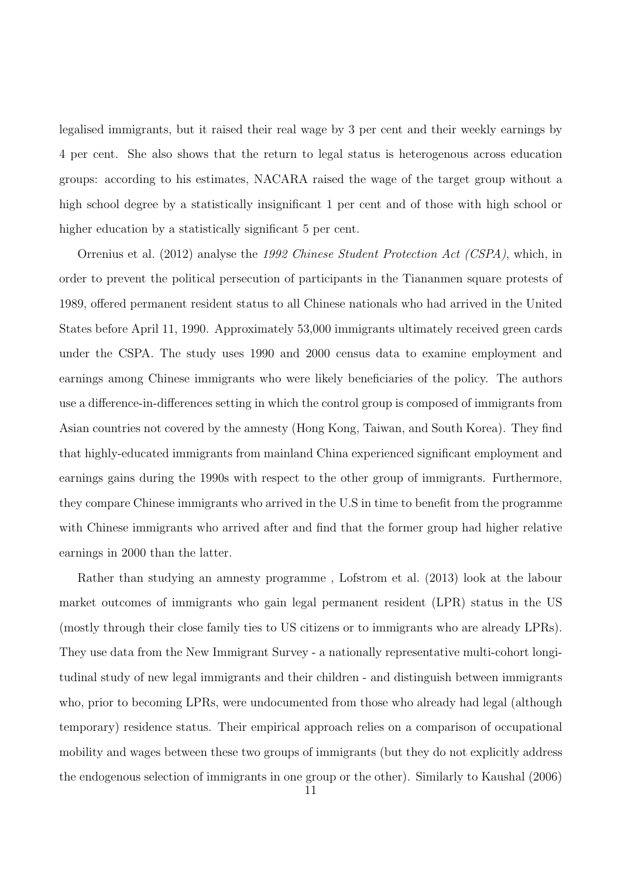legalised immigrants, but it raised their real wage by 3 per cent and their weekly earnings by 4 per cent. She also shows that the return to legal status is heterogenous across education groups: according to his estimates, NACARA raised the wage of the target group without a high school degree by a statistically insignificant 1 per cent and of those with high school or higher education by a statistically significant 5 per cent.

Orrenius et al. (2012) analyse the 1992 Chinese Student Protection Act (CSPA), which, in order to prevent the political persecution of participants in the Tiananmen square protests of 1989, offered permanent resident status to all Chinese nationals who had arrived in the United States before April 11, 1990. Approximately 53,000 immigrants ultimately received green cards under the CSPA. The study uses 1990 and 2000 census data to examine employment and earnings among Chinese immigrants who were likely beneficiaries of the policy. The authors use a difference-in-differences setting in which the control group is composed of immigrants from Asian countries not covered by the amnesty (Hong Kong, Taiwan, and South Korea). They find that highly-educated immigrants from mainland China experienced significant employment and earnings gains during the 1990s with respect to the other group of immigrants. Furthermore, they compare Chinese immigrants who arrived in the U.S in time to benefit from the programme with Chinese immigrants who arrived after and find that the former group had higher relative earnings in 2000 than the latter.

Rather than studying an amnesty programme , Lofstrom et al. (2013) look at the labour market outcomes of immigrants who gain legal permanent resident (LPR) status in the US (mostly through their close family ties to US citizens or to immigrants who are already LPRs). They use data from the New Immigrant Survey - a nationally representative multi-cohort longitudinal study of new legal immigrants and their children - and distinguish between immigrants who, prior to becoming LPRs, were undocumented from those who already had legal (although temporary) residence status. Their empirical approach relies on a comparison of occupational mobility and wages between these two groups of immigrants (but they do not explicitly address the endogenous selection of immigrants in one group or the other). Similarly to Kaushal (2006)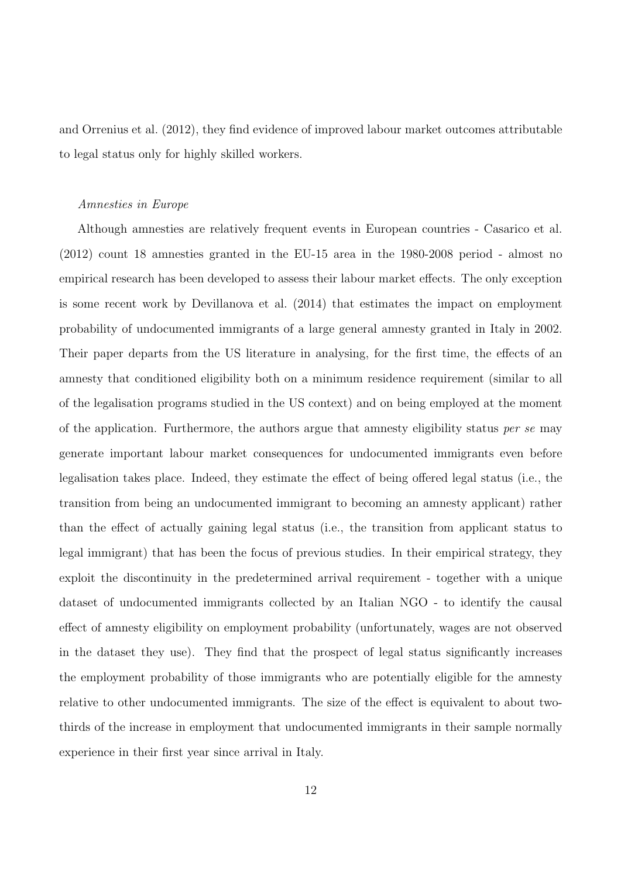and Orrenius et al. (2012), they find evidence of improved labour market outcomes attributable to legal status only for highly skilled workers.

#### Amnesties in Europe

Although amnesties are relatively frequent events in European countries - Casarico et al. (2012) count 18 amnesties granted in the EU-15 area in the 1980-2008 period - almost no empirical research has been developed to assess their labour market effects. The only exception is some recent work by Devillanova et al. (2014) that estimates the impact on employment probability of undocumented immigrants of a large general amnesty granted in Italy in 2002. Their paper departs from the US literature in analysing, for the first time, the effects of an amnesty that conditioned eligibility both on a minimum residence requirement (similar to all of the legalisation programs studied in the US context) and on being employed at the moment of the application. Furthermore, the authors argue that amnesty eligibility status *per se* may generate important labour market consequences for undocumented immigrants even before legalisation takes place. Indeed, they estimate the effect of being offered legal status (i.e., the transition from being an undocumented immigrant to becoming an amnesty applicant) rather than the effect of actually gaining legal status (i.e., the transition from applicant status to legal immigrant) that has been the focus of previous studies. In their empirical strategy, they exploit the discontinuity in the predetermined arrival requirement - together with a unique dataset of undocumented immigrants collected by an Italian NGO - to identify the causal effect of amnesty eligibility on employment probability (unfortunately, wages are not observed in the dataset they use). They find that the prospect of legal status significantly increases the employment probability of those immigrants who are potentially eligible for the amnesty relative to other undocumented immigrants. The size of the effect is equivalent to about twothirds of the increase in employment that undocumented immigrants in their sample normally experience in their first year since arrival in Italy.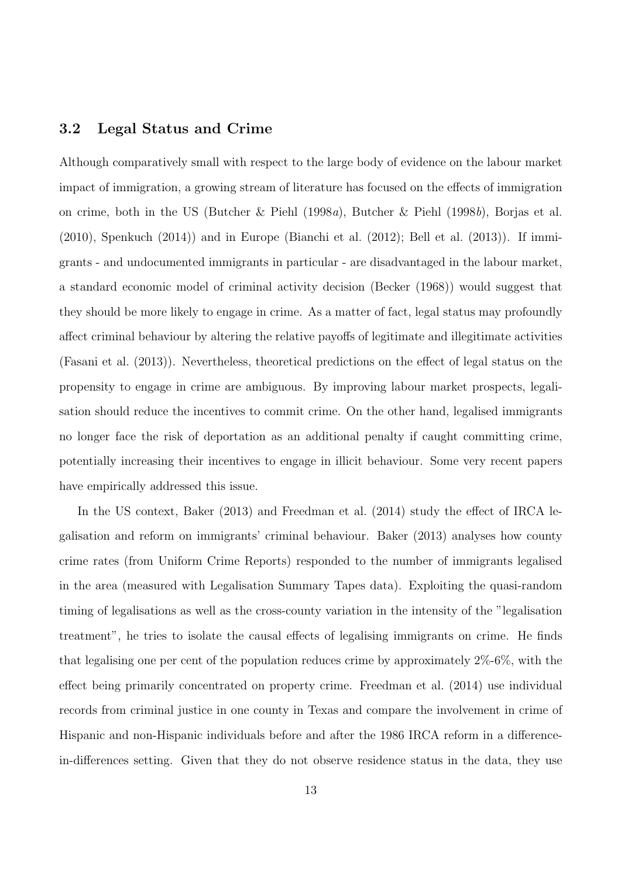#### 3.2 Legal Status and Crime

Although comparatively small with respect to the large body of evidence on the labour market impact of immigration, a growing stream of literature has focused on the effects of immigration on crime, both in the US (Butcher & Piehl (1998a), Butcher & Piehl (1998b), Borjas et al.  $(2010)$ , Spenkuch  $(2014)$  and in Europe (Bianchi et al.  $(2012)$ ; Bell et al.  $(2013)$ ). If immigrants - and undocumented immigrants in particular - are disadvantaged in the labour market, a standard economic model of criminal activity decision (Becker (1968)) would suggest that they should be more likely to engage in crime. As a matter of fact, legal status may profoundly affect criminal behaviour by altering the relative payoffs of legitimate and illegitimate activities (Fasani et al. (2013)). Nevertheless, theoretical predictions on the effect of legal status on the propensity to engage in crime are ambiguous. By improving labour market prospects, legalisation should reduce the incentives to commit crime. On the other hand, legalised immigrants no longer face the risk of deportation as an additional penalty if caught committing crime, potentially increasing their incentives to engage in illicit behaviour. Some very recent papers have empirically addressed this issue.

In the US context, Baker (2013) and Freedman et al. (2014) study the effect of IRCA legalisation and reform on immigrants' criminal behaviour. Baker (2013) analyses how county crime rates (from Uniform Crime Reports) responded to the number of immigrants legalised in the area (measured with Legalisation Summary Tapes data). Exploiting the quasi-random timing of legalisations as well as the cross-county variation in the intensity of the "legalisation treatment", he tries to isolate the causal effects of legalising immigrants on crime. He finds that legalising one per cent of the population reduces crime by approximately 2%-6%, with the effect being primarily concentrated on property crime. Freedman et al. (2014) use individual records from criminal justice in one county in Texas and compare the involvement in crime of Hispanic and non-Hispanic individuals before and after the 1986 IRCA reform in a differencein-differences setting. Given that they do not observe residence status in the data, they use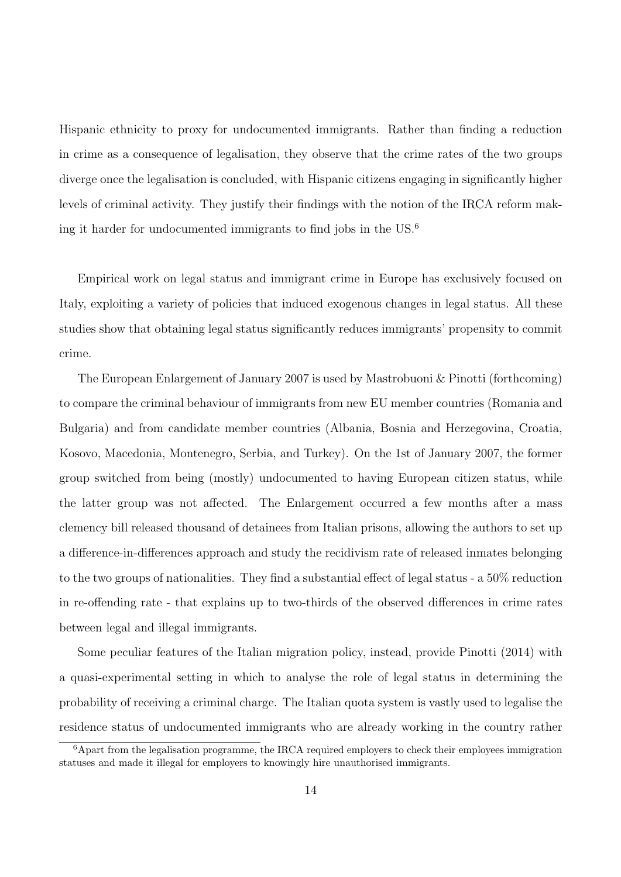Hispanic ethnicity to proxy for undocumented immigrants. Rather than finding a reduction in crime as a consequence of legalisation, they observe that the crime rates of the two groups diverge once the legalisation is concluded, with Hispanic citizens engaging in significantly higher levels of criminal activity. They justify their findings with the notion of the IRCA reform making it harder for undocumented immigrants to find jobs in the US.<sup>6</sup>

Empirical work on legal status and immigrant crime in Europe has exclusively focused on Italy, exploiting a variety of policies that induced exogenous changes in legal status. All these studies show that obtaining legal status significantly reduces immigrants' propensity to commit crime.

The European Enlargement of January 2007 is used by Mastrobuoni & Pinotti (forthcoming) to compare the criminal behaviour of immigrants from new EU member countries (Romania and Bulgaria) and from candidate member countries (Albania, Bosnia and Herzegovina, Croatia, Kosovo, Macedonia, Montenegro, Serbia, and Turkey). On the 1st of January 2007, the former group switched from being (mostly) undocumented to having European citizen status, while the latter group was not affected. The Enlargement occurred a few months after a mass clemency bill released thousand of detainees from Italian prisons, allowing the authors to set up a difference-in-differences approach and study the recidivism rate of released inmates belonging to the two groups of nationalities. They find a substantial effect of legal status - a 50% reduction in re-offending rate - that explains up to two-thirds of the observed differences in crime rates between legal and illegal immigrants.

Some peculiar features of the Italian migration policy, instead, provide Pinotti (2014) with a quasi-experimental setting in which to analyse the role of legal status in determining the probability of receiving a criminal charge. The Italian quota system is vastly used to legalise the residence status of undocumented immigrants who are already working in the country rather

 $6A$ part from the legalisation programme, the IRCA required employers to check their employees immigration statuses and made it illegal for employers to knowingly hire unauthorised immigrants.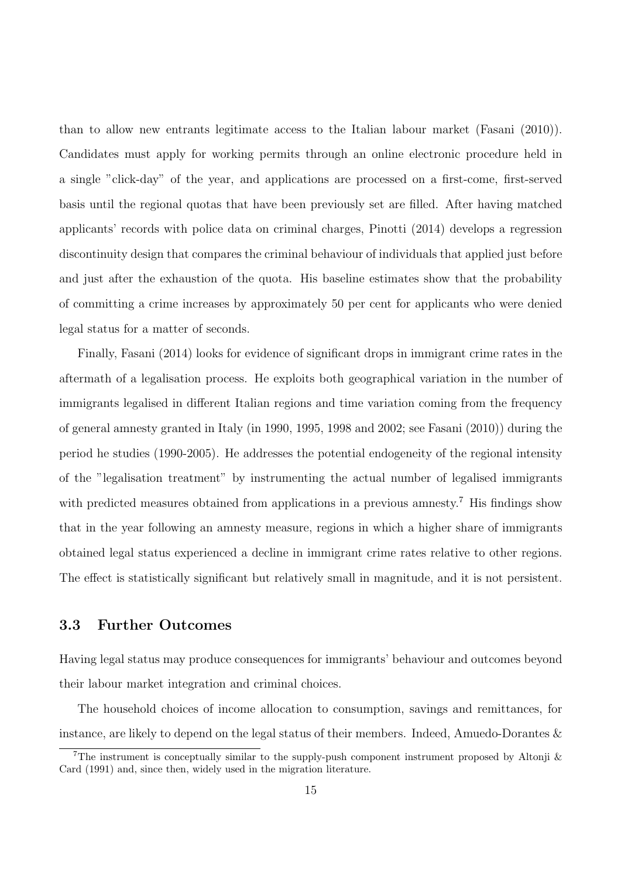than to allow new entrants legitimate access to the Italian labour market (Fasani (2010)). Candidates must apply for working permits through an online electronic procedure held in a single "click-day" of the year, and applications are processed on a first-come, first-served basis until the regional quotas that have been previously set are filled. After having matched applicants' records with police data on criminal charges, Pinotti (2014) develops a regression discontinuity design that compares the criminal behaviour of individuals that applied just before and just after the exhaustion of the quota. His baseline estimates show that the probability of committing a crime increases by approximately 50 per cent for applicants who were denied legal status for a matter of seconds.

Finally, Fasani (2014) looks for evidence of significant drops in immigrant crime rates in the aftermath of a legalisation process. He exploits both geographical variation in the number of immigrants legalised in different Italian regions and time variation coming from the frequency of general amnesty granted in Italy (in 1990, 1995, 1998 and 2002; see Fasani (2010)) during the period he studies (1990-2005). He addresses the potential endogeneity of the regional intensity of the "legalisation treatment" by instrumenting the actual number of legalised immigrants with predicted measures obtained from applications in a previous amnesty.<sup>7</sup> His findings show that in the year following an amnesty measure, regions in which a higher share of immigrants obtained legal status experienced a decline in immigrant crime rates relative to other regions. The effect is statistically significant but relatively small in magnitude, and it is not persistent.

#### 3.3 Further Outcomes

Having legal status may produce consequences for immigrants' behaviour and outcomes beyond their labour market integration and criminal choices.

The household choices of income allocation to consumption, savings and remittances, for instance, are likely to depend on the legal status of their members. Indeed, Amuedo-Dorantes &

<sup>&</sup>lt;sup>7</sup>The instrument is conceptually similar to the supply-push component instrument proposed by Altonji  $\&$ Card (1991) and, since then, widely used in the migration literature.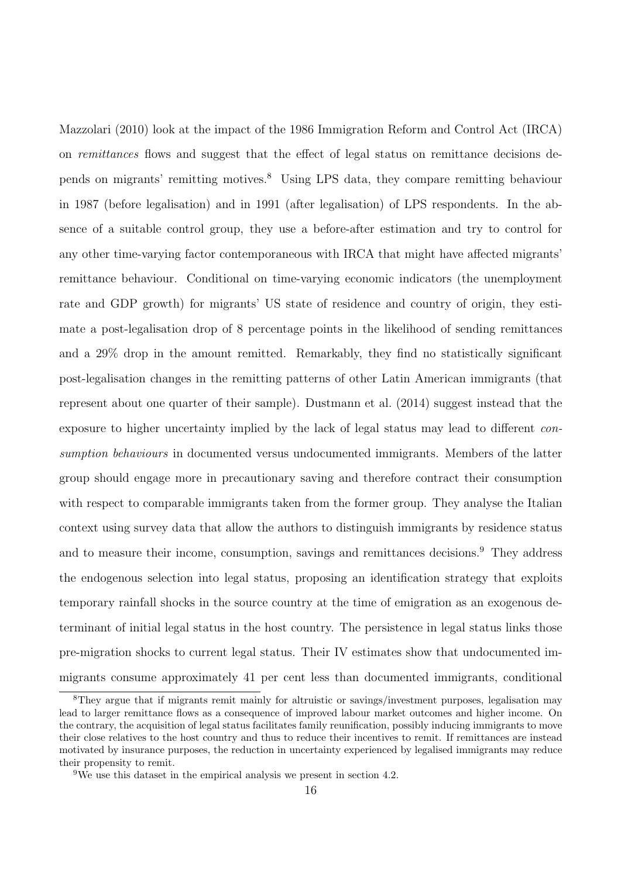Mazzolari (2010) look at the impact of the 1986 Immigration Reform and Control Act (IRCA) on remittances flows and suggest that the effect of legal status on remittance decisions depends on migrants' remitting motives.<sup>8</sup> Using LPS data, they compare remitting behaviour in 1987 (before legalisation) and in 1991 (after legalisation) of LPS respondents. In the absence of a suitable control group, they use a before-after estimation and try to control for any other time-varying factor contemporaneous with IRCA that might have affected migrants' remittance behaviour. Conditional on time-varying economic indicators (the unemployment rate and GDP growth) for migrants' US state of residence and country of origin, they estimate a post-legalisation drop of 8 percentage points in the likelihood of sending remittances and a 29% drop in the amount remitted. Remarkably, they find no statistically significant post-legalisation changes in the remitting patterns of other Latin American immigrants (that represent about one quarter of their sample). Dustmann et al. (2014) suggest instead that the exposure to higher uncertainty implied by the lack of legal status may lead to different consumption behaviours in documented versus undocumented immigrants. Members of the latter group should engage more in precautionary saving and therefore contract their consumption with respect to comparable immigrants taken from the former group. They analyse the Italian context using survey data that allow the authors to distinguish immigrants by residence status and to measure their income, consumption, savings and remittances decisions.<sup>9</sup> They address the endogenous selection into legal status, proposing an identification strategy that exploits temporary rainfall shocks in the source country at the time of emigration as an exogenous determinant of initial legal status in the host country. The persistence in legal status links those pre-migration shocks to current legal status. Their IV estimates show that undocumented immigrants consume approximately 41 per cent less than documented immigrants, conditional

<sup>&</sup>lt;sup>8</sup>They argue that if migrants remit mainly for altruistic or savings/investment purposes, legalisation may lead to larger remittance flows as a consequence of improved labour market outcomes and higher income. On the contrary, the acquisition of legal status facilitates family reunification, possibly inducing immigrants to move their close relatives to the host country and thus to reduce their incentives to remit. If remittances are instead motivated by insurance purposes, the reduction in uncertainty experienced by legalised immigrants may reduce their propensity to remit.

<sup>9</sup>We use this dataset in the empirical analysis we present in section 4.2.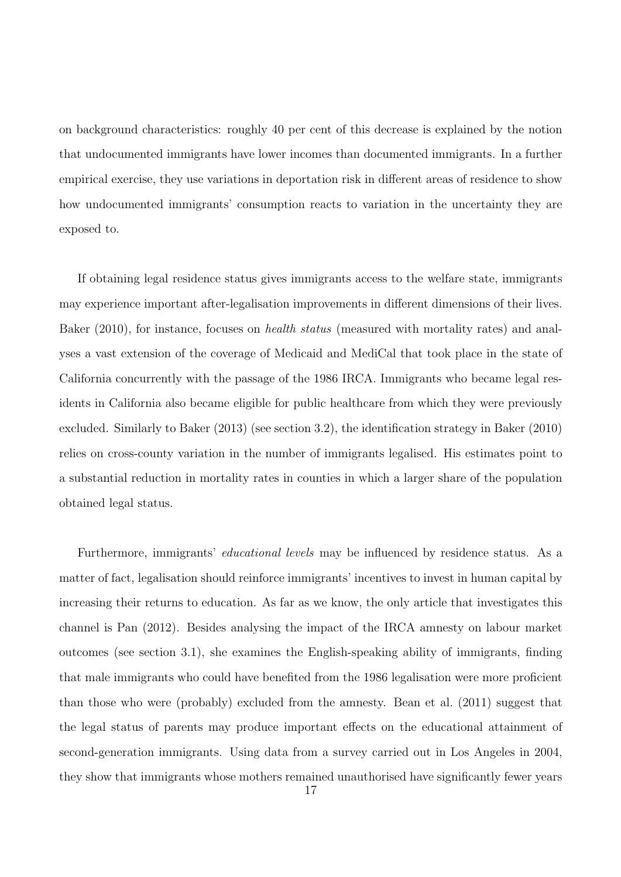on background characteristics: roughly 40 per cent of this decrease is explained by the notion that undocumented immigrants have lower incomes than documented immigrants. In a further empirical exercise, they use variations in deportation risk in different areas of residence to show how undocumented immigrants' consumption reacts to variation in the uncertainty they are exposed to.

If obtaining legal residence status gives immigrants access to the welfare state, immigrants may experience important after-legalisation improvements in different dimensions of their lives. Baker (2010), for instance, focuses on *health status* (measured with mortality rates) and analyses a vast extension of the coverage of Medicaid and MediCal that took place in the state of California concurrently with the passage of the 1986 IRCA. Immigrants who became legal residents in California also became eligible for public healthcare from which they were previously excluded. Similarly to Baker (2013) (see section 3.2), the identification strategy in Baker (2010) relies on cross-county variation in the number of immigrants legalised. His estimates point to a substantial reduction in mortality rates in counties in which a larger share of the population obtained legal status.

Furthermore, immigrants' educational levels may be influenced by residence status. As a matter of fact, legalisation should reinforce immigrants' incentives to invest in human capital by increasing their returns to education. As far as we know, the only article that investigates this channel is Pan (2012). Besides analysing the impact of the IRCA amnesty on labour market outcomes (see section 3.1), she examines the English-speaking ability of immigrants, finding that male immigrants who could have benefited from the 1986 legalisation were more proficient than those who were (probably) excluded from the amnesty. Bean et al. (2011) suggest that the legal status of parents may produce important effects on the educational attainment of second-generation immigrants. Using data from a survey carried out in Los Angeles in 2004, they show that immigrants whose mothers remained unauthorised have significantly fewer years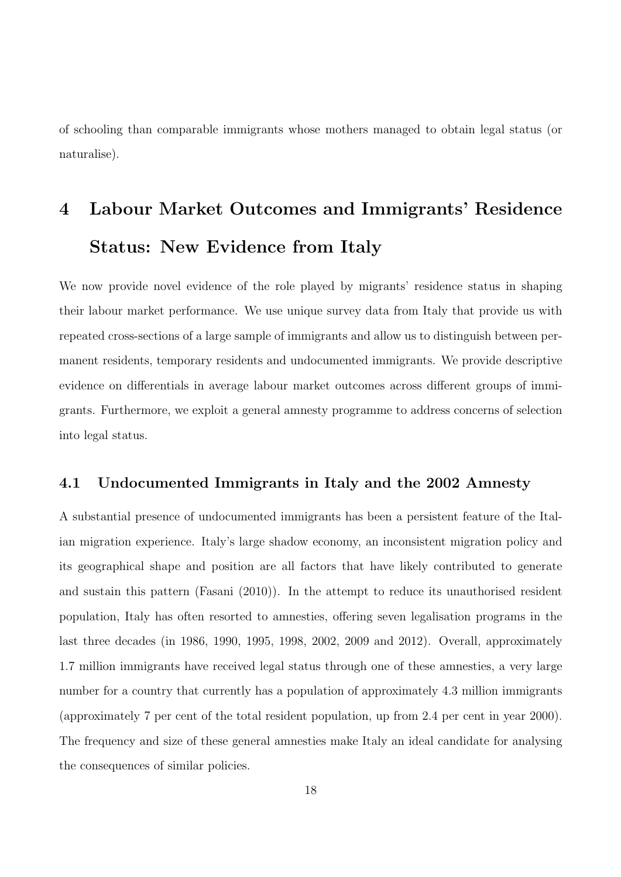of schooling than comparable immigrants whose mothers managed to obtain legal status (or naturalise).

# 4 Labour Market Outcomes and Immigrants' Residence Status: New Evidence from Italy

We now provide novel evidence of the role played by migrants' residence status in shaping their labour market performance. We use unique survey data from Italy that provide us with repeated cross-sections of a large sample of immigrants and allow us to distinguish between permanent residents, temporary residents and undocumented immigrants. We provide descriptive evidence on differentials in average labour market outcomes across different groups of immigrants. Furthermore, we exploit a general amnesty programme to address concerns of selection into legal status.

#### 4.1 Undocumented Immigrants in Italy and the 2002 Amnesty

A substantial presence of undocumented immigrants has been a persistent feature of the Italian migration experience. Italy's large shadow economy, an inconsistent migration policy and its geographical shape and position are all factors that have likely contributed to generate and sustain this pattern (Fasani (2010)). In the attempt to reduce its unauthorised resident population, Italy has often resorted to amnesties, offering seven legalisation programs in the last three decades (in 1986, 1990, 1995, 1998, 2002, 2009 and 2012). Overall, approximately 1.7 million immigrants have received legal status through one of these amnesties, a very large number for a country that currently has a population of approximately 4.3 million immigrants (approximately 7 per cent of the total resident population, up from 2.4 per cent in year 2000). The frequency and size of these general amnesties make Italy an ideal candidate for analysing the consequences of similar policies.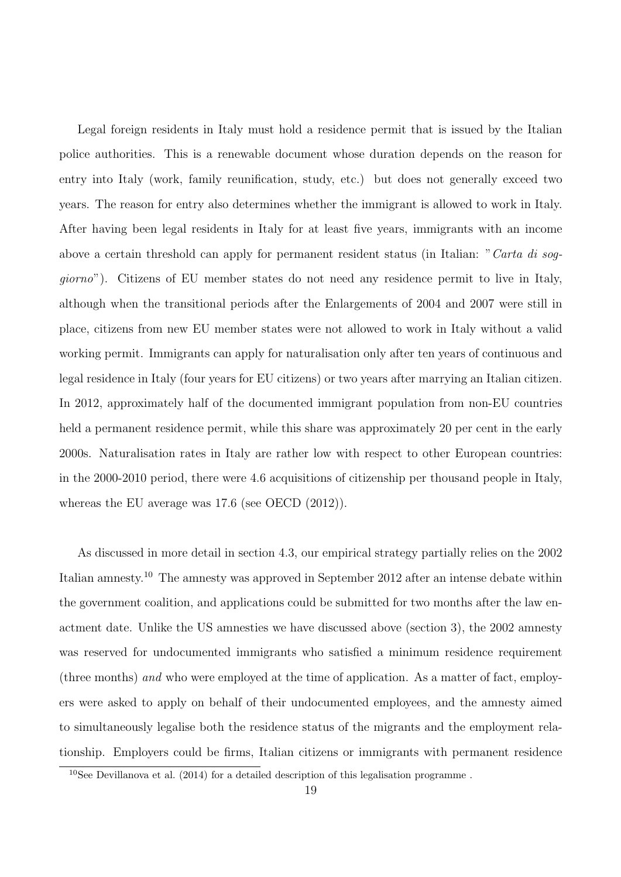Legal foreign residents in Italy must hold a residence permit that is issued by the Italian police authorities. This is a renewable document whose duration depends on the reason for entry into Italy (work, family reunification, study, etc.) but does not generally exceed two years. The reason for entry also determines whether the immigrant is allowed to work in Italy. After having been legal residents in Italy for at least five years, immigrants with an income above a certain threshold can apply for permanent resident status (in Italian: "Carta di soggiorno"). Citizens of EU member states do not need any residence permit to live in Italy, although when the transitional periods after the Enlargements of 2004 and 2007 were still in place, citizens from new EU member states were not allowed to work in Italy without a valid working permit. Immigrants can apply for naturalisation only after ten years of continuous and legal residence in Italy (four years for EU citizens) or two years after marrying an Italian citizen. In 2012, approximately half of the documented immigrant population from non-EU countries held a permanent residence permit, while this share was approximately 20 per cent in the early 2000s. Naturalisation rates in Italy are rather low with respect to other European countries: in the 2000-2010 period, there were 4.6 acquisitions of citizenship per thousand people in Italy, whereas the EU average was 17.6 (see OECD (2012)).

As discussed in more detail in section 4.3, our empirical strategy partially relies on the 2002 Italian amnesty.<sup>10</sup> The amnesty was approved in September 2012 after an intense debate within the government coalition, and applications could be submitted for two months after the law enactment date. Unlike the US amnesties we have discussed above (section 3), the 2002 amnesty was reserved for undocumented immigrants who satisfied a minimum residence requirement (three months) and who were employed at the time of application. As a matter of fact, employers were asked to apply on behalf of their undocumented employees, and the amnesty aimed to simultaneously legalise both the residence status of the migrants and the employment relationship. Employers could be firms, Italian citizens or immigrants with permanent residence

 $10$ See Devillanova et al. (2014) for a detailed description of this legalisation programme.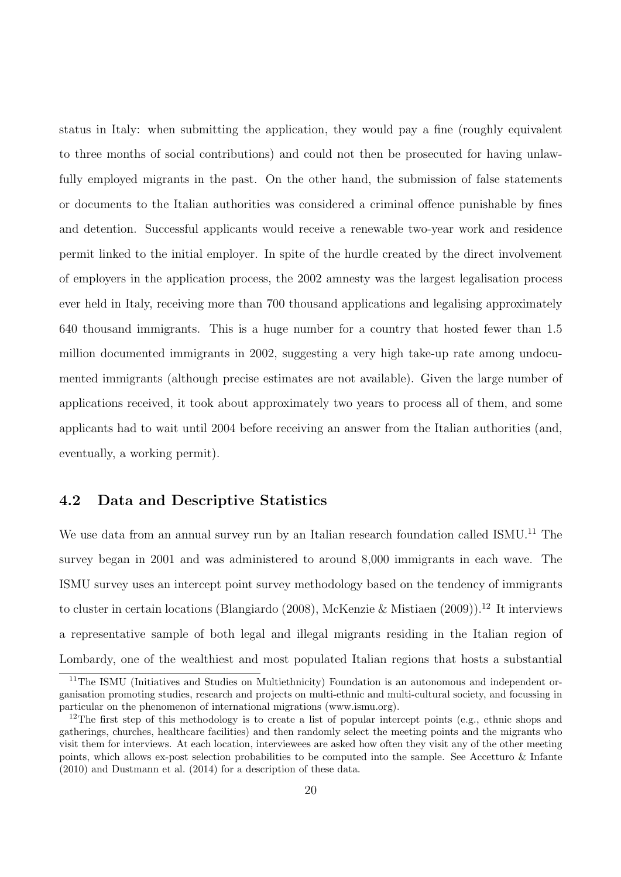status in Italy: when submitting the application, they would pay a fine (roughly equivalent to three months of social contributions) and could not then be prosecuted for having unlawfully employed migrants in the past. On the other hand, the submission of false statements or documents to the Italian authorities was considered a criminal offence punishable by fines and detention. Successful applicants would receive a renewable two-year work and residence permit linked to the initial employer. In spite of the hurdle created by the direct involvement of employers in the application process, the 2002 amnesty was the largest legalisation process ever held in Italy, receiving more than 700 thousand applications and legalising approximately 640 thousand immigrants. This is a huge number for a country that hosted fewer than 1.5 million documented immigrants in 2002, suggesting a very high take-up rate among undocumented immigrants (although precise estimates are not available). Given the large number of applications received, it took about approximately two years to process all of them, and some applicants had to wait until 2004 before receiving an answer from the Italian authorities (and, eventually, a working permit).

#### 4.2 Data and Descriptive Statistics

We use data from an annual survey run by an Italian research foundation called ISMU.<sup>11</sup> The survey began in 2001 and was administered to around 8,000 immigrants in each wave. The ISMU survey uses an intercept point survey methodology based on the tendency of immigrants to cluster in certain locations (Blangiardo (2008), McKenzie & Mistiaen (2009)).<sup>12</sup> It interviews a representative sample of both legal and illegal migrants residing in the Italian region of Lombardy, one of the wealthiest and most populated Italian regions that hosts a substantial

<sup>&</sup>lt;sup>11</sup>The ISMU (Initiatives and Studies on Multiethnicity) Foundation is an autonomous and independent organisation promoting studies, research and projects on multi-ethnic and multi-cultural society, and focussing in particular on the phenomenon of international migrations (www.ismu.org).

<sup>&</sup>lt;sup>12</sup>The first step of this methodology is to create a list of popular intercept points (e.g., ethnic shops and gatherings, churches, healthcare facilities) and then randomly select the meeting points and the migrants who visit them for interviews. At each location, interviewees are asked how often they visit any of the other meeting points, which allows ex-post selection probabilities to be computed into the sample. See Accetturo & Infante (2010) and Dustmann et al. (2014) for a description of these data.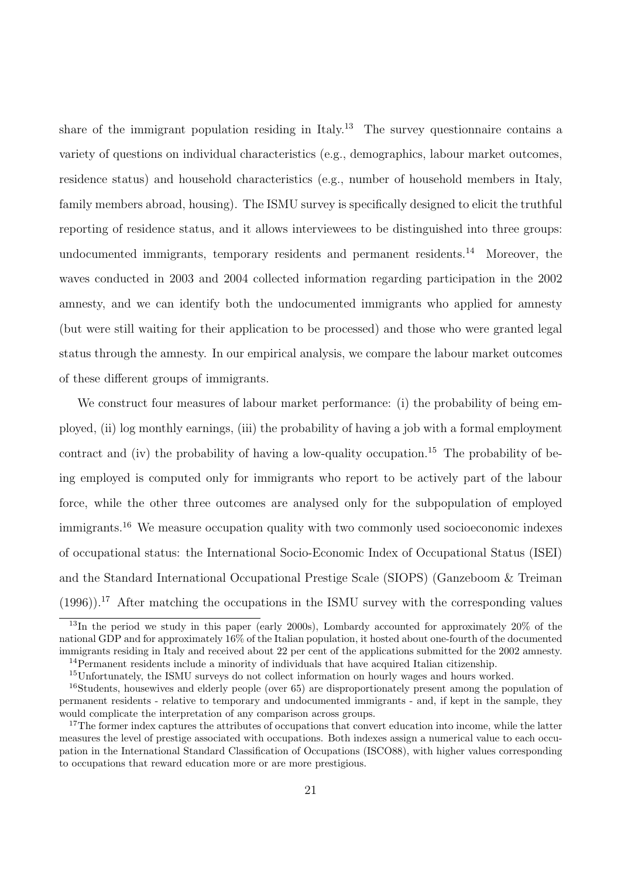share of the immigrant population residing in Italy.<sup>13</sup> The survey questionnaire contains a variety of questions on individual characteristics (e.g., demographics, labour market outcomes, residence status) and household characteristics (e.g., number of household members in Italy, family members abroad, housing). The ISMU survey is specifically designed to elicit the truthful reporting of residence status, and it allows interviewees to be distinguished into three groups: undocumented immigrants, temporary residents and permanent residents.<sup>14</sup> Moreover, the waves conducted in 2003 and 2004 collected information regarding participation in the 2002 amnesty, and we can identify both the undocumented immigrants who applied for amnesty (but were still waiting for their application to be processed) and those who were granted legal status through the amnesty. In our empirical analysis, we compare the labour market outcomes of these different groups of immigrants.

We construct four measures of labour market performance: (i) the probability of being employed, (ii) log monthly earnings, (iii) the probability of having a job with a formal employment contract and (iv) the probability of having a low-quality occupation.<sup>15</sup> The probability of being employed is computed only for immigrants who report to be actively part of the labour force, while the other three outcomes are analysed only for the subpopulation of employed immigrants.<sup>16</sup> We measure occupation quality with two commonly used socioeconomic indexes of occupational status: the International Socio-Economic Index of Occupational Status (ISEI) and the Standard International Occupational Prestige Scale (SIOPS) (Ganzeboom & Treiman  $(1996)$ .<sup>17</sup> After matching the occupations in the ISMU survey with the corresponding values

 $^{13}$ In the period we study in this paper (early 2000s), Lombardy accounted for approximately 20% of the national GDP and for approximately 16% of the Italian population, it hosted about one-fourth of the documented immigrants residing in Italy and received about 22 per cent of the applications submitted for the 2002 amnesty. <sup>14</sup>Permanent residents include a minority of individuals that have acquired Italian citizenship.

<sup>15</sup>Unfortunately, the ISMU surveys do not collect information on hourly wages and hours worked.

<sup>16</sup>Students, housewives and elderly people (over 65) are disproportionately present among the population of permanent residents - relative to temporary and undocumented immigrants - and, if kept in the sample, they

would complicate the interpretation of any comparison across groups. <sup>17</sup>The former index captures the attributes of occupations that convert education into income, while the latter measures the level of prestige associated with occupations. Both indexes assign a numerical value to each occupation in the International Standard Classification of Occupations (ISCO88), with higher values corresponding to occupations that reward education more or are more prestigious.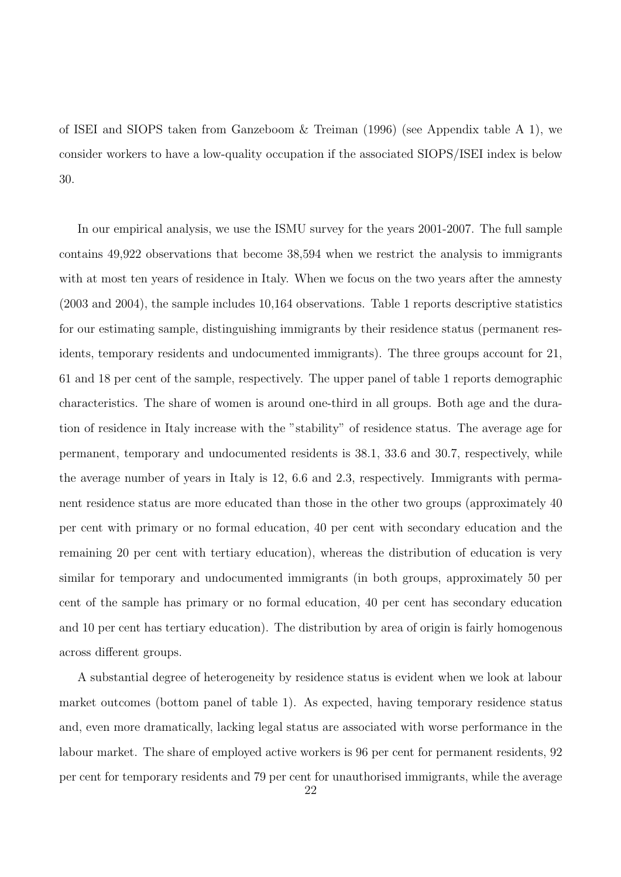of ISEI and SIOPS taken from Ganzeboom & Treiman (1996) (see Appendix table A 1), we consider workers to have a low-quality occupation if the associated SIOPS/ISEI index is below 30.

In our empirical analysis, we use the ISMU survey for the years 2001-2007. The full sample contains 49,922 observations that become 38,594 when we restrict the analysis to immigrants with at most ten years of residence in Italy. When we focus on the two years after the amnesty (2003 and 2004), the sample includes 10,164 observations. Table 1 reports descriptive statistics for our estimating sample, distinguishing immigrants by their residence status (permanent residents, temporary residents and undocumented immigrants). The three groups account for 21, 61 and 18 per cent of the sample, respectively. The upper panel of table 1 reports demographic characteristics. The share of women is around one-third in all groups. Both age and the duration of residence in Italy increase with the "stability" of residence status. The average age for permanent, temporary and undocumented residents is 38.1, 33.6 and 30.7, respectively, while the average number of years in Italy is 12, 6.6 and 2.3, respectively. Immigrants with permanent residence status are more educated than those in the other two groups (approximately 40 per cent with primary or no formal education, 40 per cent with secondary education and the remaining 20 per cent with tertiary education), whereas the distribution of education is very similar for temporary and undocumented immigrants (in both groups, approximately 50 per cent of the sample has primary or no formal education, 40 per cent has secondary education and 10 per cent has tertiary education). The distribution by area of origin is fairly homogenous across different groups.

A substantial degree of heterogeneity by residence status is evident when we look at labour market outcomes (bottom panel of table 1). As expected, having temporary residence status and, even more dramatically, lacking legal status are associated with worse performance in the labour market. The share of employed active workers is 96 per cent for permanent residents, 92 per cent for temporary residents and 79 per cent for unauthorised immigrants, while the average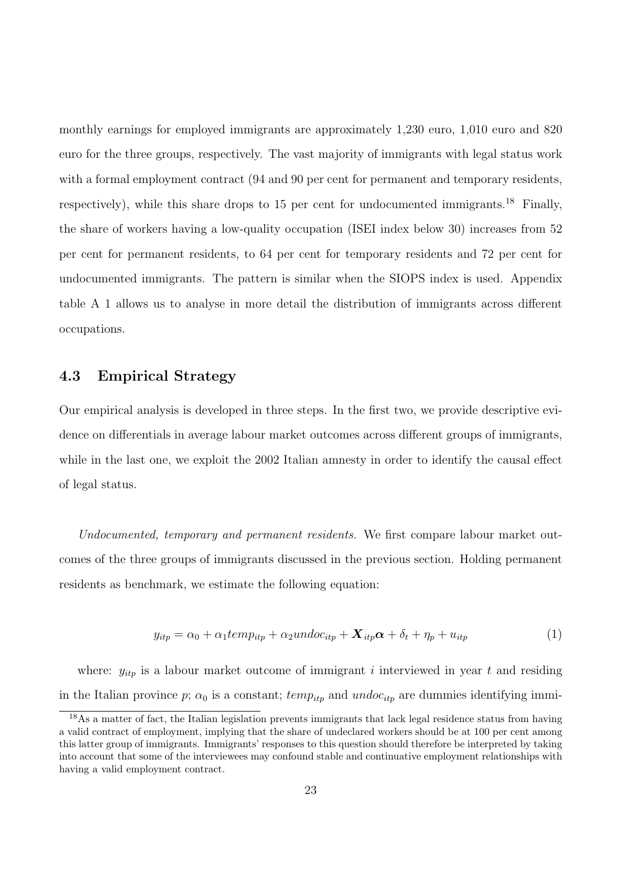monthly earnings for employed immigrants are approximately 1,230 euro, 1,010 euro and 820 euro for the three groups, respectively. The vast majority of immigrants with legal status work with a formal employment contract  $(94 \text{ and } 90 \text{ per cent for permanent and temporary residents},$ respectively), while this share drops to 15 per cent for undocumented immigrants.<sup>18</sup> Finally, the share of workers having a low-quality occupation (ISEI index below 30) increases from 52 per cent for permanent residents, to 64 per cent for temporary residents and 72 per cent for undocumented immigrants. The pattern is similar when the SIOPS index is used. Appendix table A 1 allows us to analyse in more detail the distribution of immigrants across different occupations.

#### 4.3 Empirical Strategy

Our empirical analysis is developed in three steps. In the first two, we provide descriptive evidence on differentials in average labour market outcomes across different groups of immigrants, while in the last one, we exploit the 2002 Italian amnesty in order to identify the causal effect of legal status.

Undocumented, temporary and permanent residents. We first compare labour market outcomes of the three groups of immigrants discussed in the previous section. Holding permanent residents as benchmark, we estimate the following equation:

$$
y_{itp} = \alpha_0 + \alpha_1 temp_{itp} + \alpha_2 undoc_{itp} + \mathbf{X}_{itp} \alpha + \delta_t + \eta_p + u_{itp} \tag{1}
$$

where:  $y_{itp}$  is a labour market outcome of immigrant i interviewed in year t and residing in the Italian province p;  $\alpha_0$  is a constant; temp<sub>itp</sub> and undoc<sub>itp</sub> are dummies identifying immi-

<sup>&</sup>lt;sup>18</sup>As a matter of fact, the Italian legislation prevents immigrants that lack legal residence status from having a valid contract of employment, implying that the share of undeclared workers should be at 100 per cent among this latter group of immigrants. Immigrants' responses to this question should therefore be interpreted by taking into account that some of the interviewees may confound stable and continuative employment relationships with having a valid employment contract.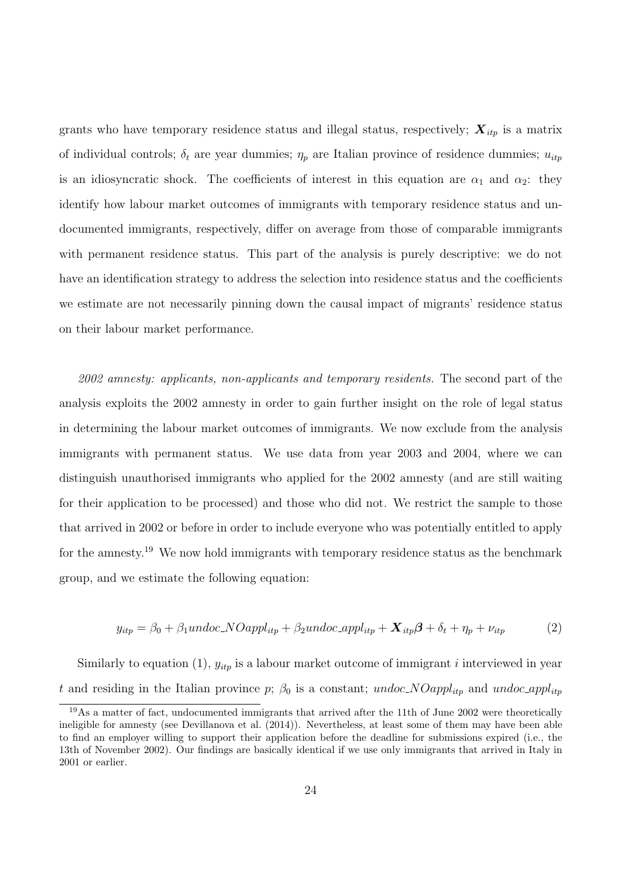grants who have temporary residence status and illegal status, respectively;  $X_{itp}$  is a matrix of individual controls;  $\delta_t$  are year dummies;  $\eta_p$  are Italian province of residence dummies;  $u_{itp}$ is an idiosyncratic shock. The coefficients of interest in this equation are  $\alpha_1$  and  $\alpha_2$ : they identify how labour market outcomes of immigrants with temporary residence status and undocumented immigrants, respectively, differ on average from those of comparable immigrants with permanent residence status. This part of the analysis is purely descriptive: we do not have an identification strategy to address the selection into residence status and the coefficients we estimate are not necessarily pinning down the causal impact of migrants' residence status on their labour market performance.

2002 amnesty: applicants, non-applicants and temporary residents. The second part of the analysis exploits the 2002 amnesty in order to gain further insight on the role of legal status in determining the labour market outcomes of immigrants. We now exclude from the analysis immigrants with permanent status. We use data from year 2003 and 2004, where we can distinguish unauthorised immigrants who applied for the 2002 amnesty (and are still waiting for their application to be processed) and those who did not. We restrict the sample to those that arrived in 2002 or before in order to include everyone who was potentially entitled to apply for the amnesty.<sup>19</sup> We now hold immigrants with temporary residence status as the benchmark group, and we estimate the following equation:

$$
y_{itp} = \beta_0 + \beta_1 undoc.NOappl_{itp} + \beta_2 undoc_appl_{itp} + \mathbf{X}_{itp}\boldsymbol{\beta} + \delta_t + \eta_p + \nu_{itp} \tag{2}
$$

Similarly to equation (1),  $y_{itp}$  is a labour market outcome of immigrant *i* interviewed in year t and residing in the Italian province p;  $\beta_0$  is a constant; undoc\_NOappl<sub>itp</sub> and undoc\_appl<sub>itp</sub>

 $19\text{As a matter of fact, undocumented immigrants that arrived after the 11th of June 2002 were theoretically}$ ineligible for amnesty (see Devillanova et al. (2014)). Nevertheless, at least some of them may have been able to find an employer willing to support their application before the deadline for submissions expired (i.e., the 13th of November 2002). Our findings are basically identical if we use only immigrants that arrived in Italy in 2001 or earlier.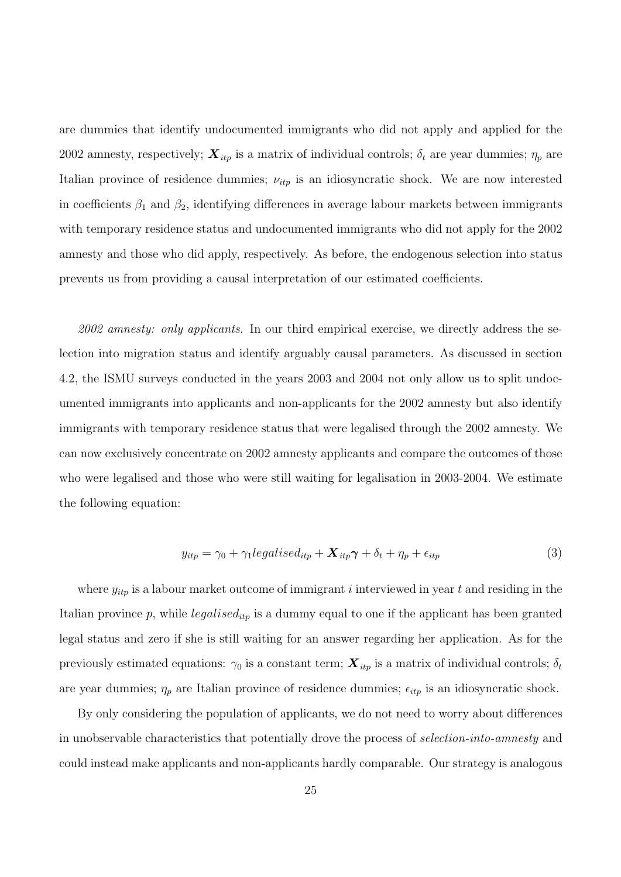are dummies that identify undocumented immigrants who did not apply and applied for the 2002 amnesty, respectively;  $\mathbf{X}_{itp}$  is a matrix of individual controls;  $\delta_t$  are year dummies;  $\eta_p$  are Italian province of residence dummies;  $\nu_{itp}$  is an idiosyncratic shock. We are now interested in coefficients  $\beta_1$  and  $\beta_2$ , identifying differences in average labour markets between immigrants with temporary residence status and undocumented immigrants who did not apply for the 2002 amnesty and those who did apply, respectively. As before, the endogenous selection into status prevents us from providing a causal interpretation of our estimated coefficients.

 $2002$  amnesty: only applicants. In our third empirical exercise, we directly address the selection into migration status and identify arguably causal parameters. As discussed in section 4.2, the ISMU surveys conducted in the years 2003 and 2004 not only allow us to split undocumented immigrants into applicants and non-applicants for the 2002 amnesty but also identify immigrants with temporary residence status that were legalised through the 2002 amnesty. We can now exclusively concentrate on 2002 amnesty applicants and compare the outcomes of those who were legalised and those who were still waiting for legalisation in 2003-2004. We estimate the following equation:

$$
y_{itp} = \gamma_0 + \gamma_1 legalised_{itp} + \mathbf{X}_{itp}\boldsymbol{\gamma} + \delta_t + \eta_p + \epsilon_{itp}
$$
\n<sup>(3)</sup>

where  $y_{itp}$  is a labour market outcome of immigrant *i* interviewed in year t and residing in the Italian province  $p$ , while  $legalised_{itp}$  is a dummy equal to one if the applicant has been granted legal status and zero if she is still waiting for an answer regarding her application. As for the previously estimated equations:  $\gamma_0$  is a constant term;  $\mathbf{X}_{itp}$  is a matrix of individual controls;  $\delta_t$ are year dummies;  $\eta_p$  are Italian province of residence dummies;  $\epsilon_{itp}$  is an idiosyncratic shock.

By only considering the population of applicants, we do not need to worry about differences in unobservable characteristics that potentially drove the process of selection-into-amnesty and could instead make applicants and non-applicants hardly comparable. Our strategy is analogous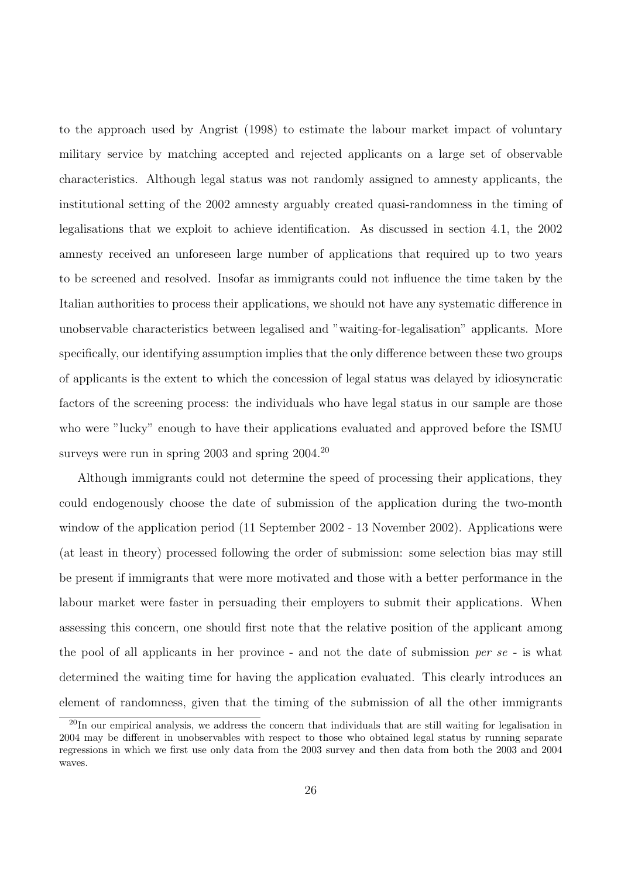to the approach used by Angrist (1998) to estimate the labour market impact of voluntary military service by matching accepted and rejected applicants on a large set of observable characteristics. Although legal status was not randomly assigned to amnesty applicants, the institutional setting of the 2002 amnesty arguably created quasi-randomness in the timing of legalisations that we exploit to achieve identification. As discussed in section 4.1, the 2002 amnesty received an unforeseen large number of applications that required up to two years to be screened and resolved. Insofar as immigrants could not influence the time taken by the Italian authorities to process their applications, we should not have any systematic difference in unobservable characteristics between legalised and "waiting-for-legalisation" applicants. More specifically, our identifying assumption implies that the only difference between these two groups of applicants is the extent to which the concession of legal status was delayed by idiosyncratic factors of the screening process: the individuals who have legal status in our sample are those who were "lucky" enough to have their applications evaluated and approved before the ISMU surveys were run in spring 2003 and spring  $2004.^{20}$ 

Although immigrants could not determine the speed of processing their applications, they could endogenously choose the date of submission of the application during the two-month window of the application period (11 September 2002 - 13 November 2002). Applications were (at least in theory) processed following the order of submission: some selection bias may still be present if immigrants that were more motivated and those with a better performance in the labour market were faster in persuading their employers to submit their applications. When assessing this concern, one should first note that the relative position of the applicant among the pool of all applicants in her province - and not the date of submission per se - is what determined the waiting time for having the application evaluated. This clearly introduces an element of randomness, given that the timing of the submission of all the other immigrants

<sup>20</sup>In our empirical analysis, we address the concern that individuals that are still waiting for legalisation in 2004 may be different in unobservables with respect to those who obtained legal status by running separate regressions in which we first use only data from the 2003 survey and then data from both the 2003 and 2004 waves.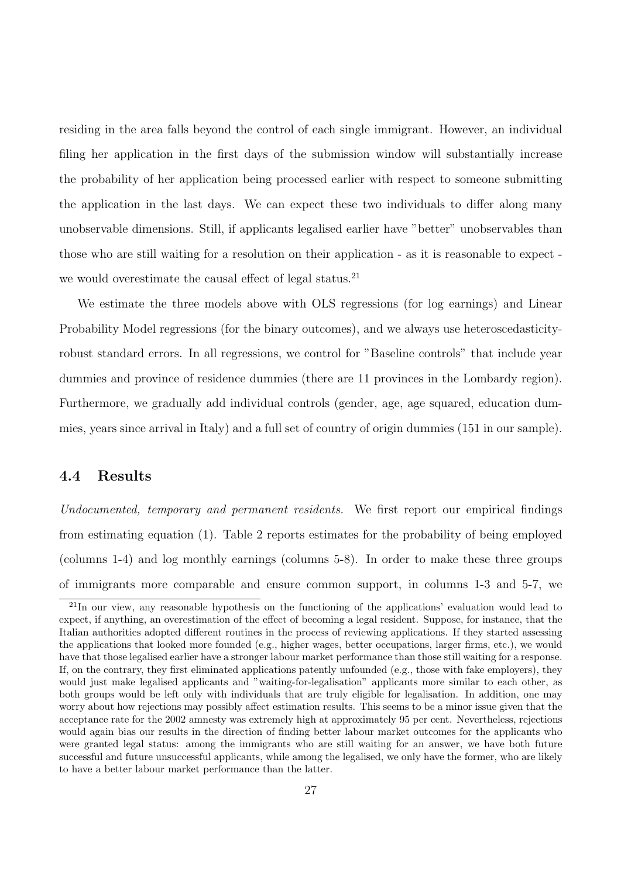residing in the area falls beyond the control of each single immigrant. However, an individual filing her application in the first days of the submission window will substantially increase the probability of her application being processed earlier with respect to someone submitting the application in the last days. We can expect these two individuals to differ along many unobservable dimensions. Still, if applicants legalised earlier have "better" unobservables than those who are still waiting for a resolution on their application - as it is reasonable to expect we would overestimate the causal effect of legal status.<sup>21</sup>

We estimate the three models above with OLS regressions (for log earnings) and Linear Probability Model regressions (for the binary outcomes), and we always use heteroscedasticityrobust standard errors. In all regressions, we control for "Baseline controls" that include year dummies and province of residence dummies (there are 11 provinces in the Lombardy region). Furthermore, we gradually add individual controls (gender, age, age squared, education dummies, years since arrival in Italy) and a full set of country of origin dummies (151 in our sample).

#### 4.4 Results

Undocumented, temporary and permanent residents. We first report our empirical findings from estimating equation (1). Table 2 reports estimates for the probability of being employed (columns 1-4) and log monthly earnings (columns 5-8). In order to make these three groups of immigrants more comparable and ensure common support, in columns 1-3 and 5-7, we

<sup>&</sup>lt;sup>21</sup>In our view, any reasonable hypothesis on the functioning of the applications' evaluation would lead to expect, if anything, an overestimation of the effect of becoming a legal resident. Suppose, for instance, that the Italian authorities adopted different routines in the process of reviewing applications. If they started assessing the applications that looked more founded (e.g., higher wages, better occupations, larger firms, etc.), we would have that those legalised earlier have a stronger labour market performance than those still waiting for a response. If, on the contrary, they first eliminated applications patently unfounded (e.g., those with fake employers), they would just make legalised applicants and "waiting-for-legalisation" applicants more similar to each other, as both groups would be left only with individuals that are truly eligible for legalisation. In addition, one may worry about how rejections may possibly affect estimation results. This seems to be a minor issue given that the acceptance rate for the 2002 amnesty was extremely high at approximately 95 per cent. Nevertheless, rejections would again bias our results in the direction of finding better labour market outcomes for the applicants who were granted legal status: among the immigrants who are still waiting for an answer, we have both future successful and future unsuccessful applicants, while among the legalised, we only have the former, who are likely to have a better labour market performance than the latter.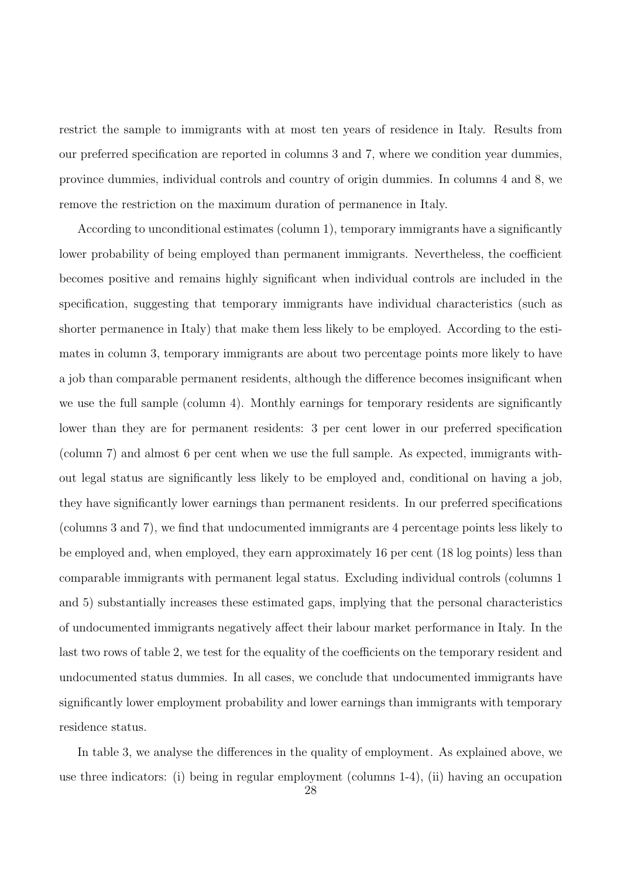restrict the sample to immigrants with at most ten years of residence in Italy. Results from our preferred specification are reported in columns 3 and 7, where we condition year dummies, province dummies, individual controls and country of origin dummies. In columns 4 and 8, we remove the restriction on the maximum duration of permanence in Italy.

According to unconditional estimates (column 1), temporary immigrants have a significantly lower probability of being employed than permanent immigrants. Nevertheless, the coefficient becomes positive and remains highly significant when individual controls are included in the specification, suggesting that temporary immigrants have individual characteristics (such as shorter permanence in Italy) that make them less likely to be employed. According to the estimates in column 3, temporary immigrants are about two percentage points more likely to have a job than comparable permanent residents, although the difference becomes insignificant when we use the full sample (column 4). Monthly earnings for temporary residents are significantly lower than they are for permanent residents: 3 per cent lower in our preferred specification (column 7) and almost 6 per cent when we use the full sample. As expected, immigrants without legal status are significantly less likely to be employed and, conditional on having a job, they have significantly lower earnings than permanent residents. In our preferred specifications (columns 3 and 7), we find that undocumented immigrants are 4 percentage points less likely to be employed and, when employed, they earn approximately 16 per cent (18 log points) less than comparable immigrants with permanent legal status. Excluding individual controls (columns 1 and 5) substantially increases these estimated gaps, implying that the personal characteristics of undocumented immigrants negatively affect their labour market performance in Italy. In the last two rows of table 2, we test for the equality of the coefficients on the temporary resident and undocumented status dummies. In all cases, we conclude that undocumented immigrants have significantly lower employment probability and lower earnings than immigrants with temporary residence status.

In table 3, we analyse the differences in the quality of employment. As explained above, we use three indicators: (i) being in regular employment (columns 1-4), (ii) having an occupation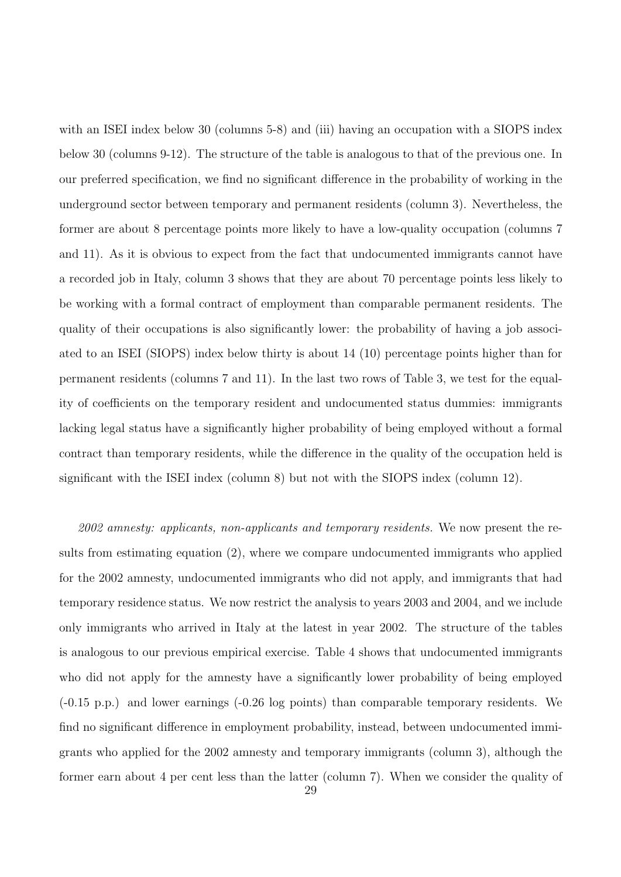with an ISEI index below 30 (columns 5-8) and (iii) having an occupation with a SIOPS index below 30 (columns 9-12). The structure of the table is analogous to that of the previous one. In our preferred specification, we find no significant difference in the probability of working in the underground sector between temporary and permanent residents (column 3). Nevertheless, the former are about 8 percentage points more likely to have a low-quality occupation (columns 7 and 11). As it is obvious to expect from the fact that undocumented immigrants cannot have a recorded job in Italy, column 3 shows that they are about 70 percentage points less likely to be working with a formal contract of employment than comparable permanent residents. The quality of their occupations is also significantly lower: the probability of having a job associated to an ISEI (SIOPS) index below thirty is about 14 (10) percentage points higher than for permanent residents (columns 7 and 11). In the last two rows of Table 3, we test for the equality of coefficients on the temporary resident and undocumented status dummies: immigrants lacking legal status have a significantly higher probability of being employed without a formal contract than temporary residents, while the difference in the quality of the occupation held is significant with the ISEI index (column 8) but not with the SIOPS index (column 12).

2002 amnesty: applicants, non-applicants and temporary residents. We now present the results from estimating equation (2), where we compare undocumented immigrants who applied for the 2002 amnesty, undocumented immigrants who did not apply, and immigrants that had temporary residence status. We now restrict the analysis to years 2003 and 2004, and we include only immigrants who arrived in Italy at the latest in year 2002. The structure of the tables is analogous to our previous empirical exercise. Table 4 shows that undocumented immigrants who did not apply for the amnesty have a significantly lower probability of being employed (-0.15 p.p.) and lower earnings (-0.26 log points) than comparable temporary residents. We find no significant difference in employment probability, instead, between undocumented immigrants who applied for the 2002 amnesty and temporary immigrants (column 3), although the former earn about 4 per cent less than the latter (column 7). When we consider the quality of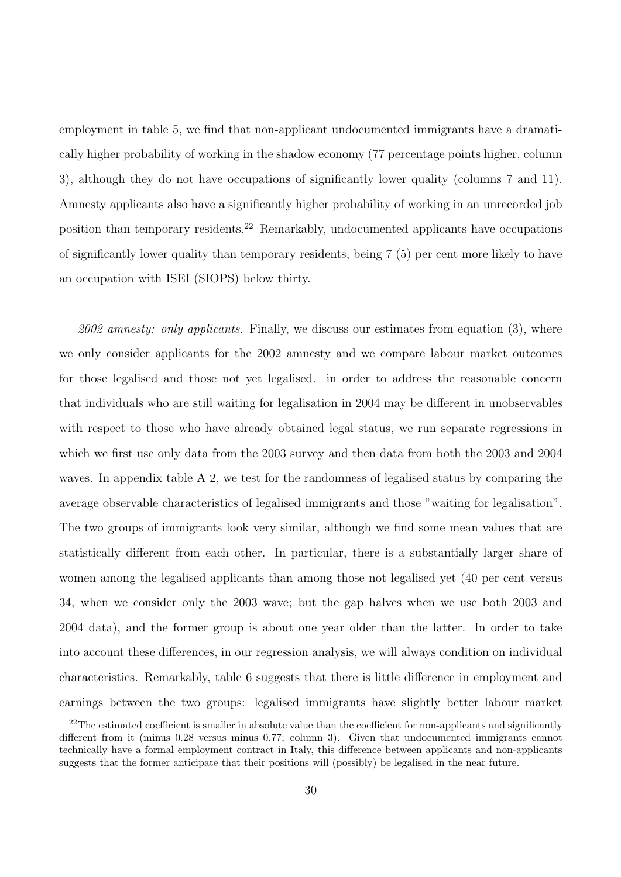employment in table 5, we find that non-applicant undocumented immigrants have a dramatically higher probability of working in the shadow economy (77 percentage points higher, column 3), although they do not have occupations of significantly lower quality (columns 7 and 11). Amnesty applicants also have a significantly higher probability of working in an unrecorded job position than temporary residents.<sup>22</sup> Remarkably, undocumented applicants have occupations of significantly lower quality than temporary residents, being 7 (5) per cent more likely to have an occupation with ISEI (SIOPS) below thirty.

 $2002$  amnesty: only applicants. Finally, we discuss our estimates from equation (3), where we only consider applicants for the 2002 amnesty and we compare labour market outcomes for those legalised and those not yet legalised. in order to address the reasonable concern that individuals who are still waiting for legalisation in 2004 may be different in unobservables with respect to those who have already obtained legal status, we run separate regressions in which we first use only data from the 2003 survey and then data from both the 2003 and 2004 waves. In appendix table A 2, we test for the randomness of legalised status by comparing the average observable characteristics of legalised immigrants and those "waiting for legalisation". The two groups of immigrants look very similar, although we find some mean values that are statistically different from each other. In particular, there is a substantially larger share of women among the legalised applicants than among those not legalised yet (40 per cent versus 34, when we consider only the 2003 wave; but the gap halves when we use both 2003 and 2004 data), and the former group is about one year older than the latter. In order to take into account these differences, in our regression analysis, we will always condition on individual characteristics. Remarkably, table 6 suggests that there is little difference in employment and earnings between the two groups: legalised immigrants have slightly better labour market

 $22$ The estimated coefficient is smaller in absolute value than the coefficient for non-applicants and significantly different from it (minus 0.28 versus minus 0.77; column 3). Given that undocumented immigrants cannot technically have a formal employment contract in Italy, this difference between applicants and non-applicants suggests that the former anticipate that their positions will (possibly) be legalised in the near future.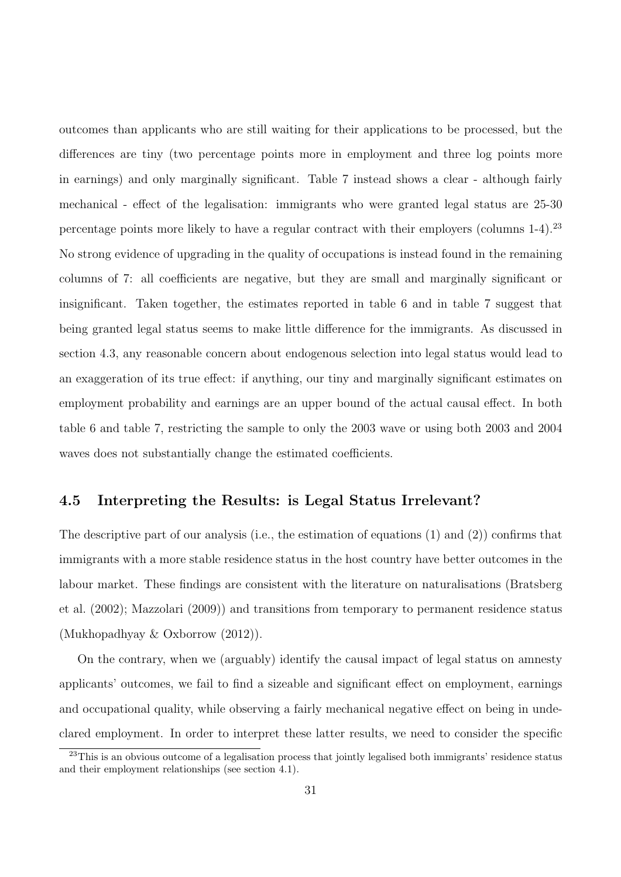outcomes than applicants who are still waiting for their applications to be processed, but the differences are tiny (two percentage points more in employment and three log points more in earnings) and only marginally significant. Table 7 instead shows a clear - although fairly mechanical - effect of the legalisation: immigrants who were granted legal status are 25-30 percentage points more likely to have a regular contract with their employers (columns 1-4).<sup>23</sup> No strong evidence of upgrading in the quality of occupations is instead found in the remaining columns of 7: all coefficients are negative, but they are small and marginally significant or insignificant. Taken together, the estimates reported in table 6 and in table 7 suggest that being granted legal status seems to make little difference for the immigrants. As discussed in section 4.3, any reasonable concern about endogenous selection into legal status would lead to an exaggeration of its true effect: if anything, our tiny and marginally significant estimates on employment probability and earnings are an upper bound of the actual causal effect. In both table 6 and table 7, restricting the sample to only the 2003 wave or using both 2003 and 2004 waves does not substantially change the estimated coefficients.

#### 4.5 Interpreting the Results: is Legal Status Irrelevant?

The descriptive part of our analysis (i.e., the estimation of equations (1) and (2)) confirms that immigrants with a more stable residence status in the host country have better outcomes in the labour market. These findings are consistent with the literature on naturalisations (Bratsberg et al. (2002); Mazzolari (2009)) and transitions from temporary to permanent residence status (Mukhopadhyay & Oxborrow (2012)).

On the contrary, when we (arguably) identify the causal impact of legal status on amnesty applicants' outcomes, we fail to find a sizeable and significant effect on employment, earnings and occupational quality, while observing a fairly mechanical negative effect on being in undeclared employment. In order to interpret these latter results, we need to consider the specific

<sup>&</sup>lt;sup>23</sup>This is an obvious outcome of a legalisation process that jointly legalised both immigrants' residence status and their employment relationships (see section 4.1).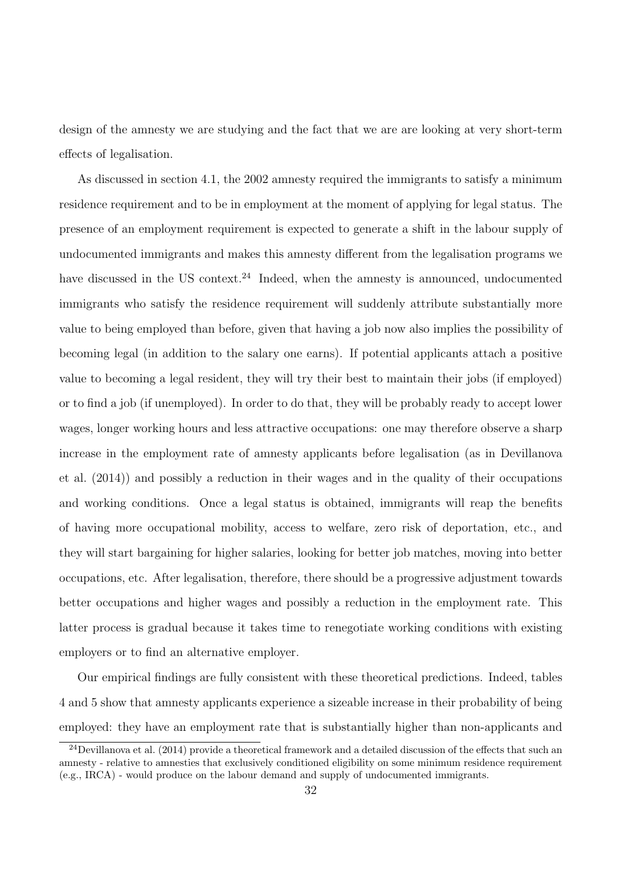design of the amnesty we are studying and the fact that we are are looking at very short-term effects of legalisation.

As discussed in section 4.1, the 2002 amnesty required the immigrants to satisfy a minimum residence requirement and to be in employment at the moment of applying for legal status. The presence of an employment requirement is expected to generate a shift in the labour supply of undocumented immigrants and makes this amnesty different from the legalisation programs we have discussed in the US context.<sup>24</sup> Indeed, when the amnesty is announced, undocumented immigrants who satisfy the residence requirement will suddenly attribute substantially more value to being employed than before, given that having a job now also implies the possibility of becoming legal (in addition to the salary one earns). If potential applicants attach a positive value to becoming a legal resident, they will try their best to maintain their jobs (if employed) or to find a job (if unemployed). In order to do that, they will be probably ready to accept lower wages, longer working hours and less attractive occupations: one may therefore observe a sharp increase in the employment rate of amnesty applicants before legalisation (as in Devillanova et al. (2014)) and possibly a reduction in their wages and in the quality of their occupations and working conditions. Once a legal status is obtained, immigrants will reap the benefits of having more occupational mobility, access to welfare, zero risk of deportation, etc., and they will start bargaining for higher salaries, looking for better job matches, moving into better occupations, etc. After legalisation, therefore, there should be a progressive adjustment towards better occupations and higher wages and possibly a reduction in the employment rate. This latter process is gradual because it takes time to renegotiate working conditions with existing employers or to find an alternative employer.

Our empirical findings are fully consistent with these theoretical predictions. Indeed, tables 4 and 5 show that amnesty applicants experience a sizeable increase in their probability of being employed: they have an employment rate that is substantially higher than non-applicants and

<sup>&</sup>lt;sup>24</sup>Devillanova et al. (2014) provide a theoretical framework and a detailed discussion of the effects that such an amnesty - relative to amnesties that exclusively conditioned eligibility on some minimum residence requirement (e.g., IRCA) - would produce on the labour demand and supply of undocumented immigrants.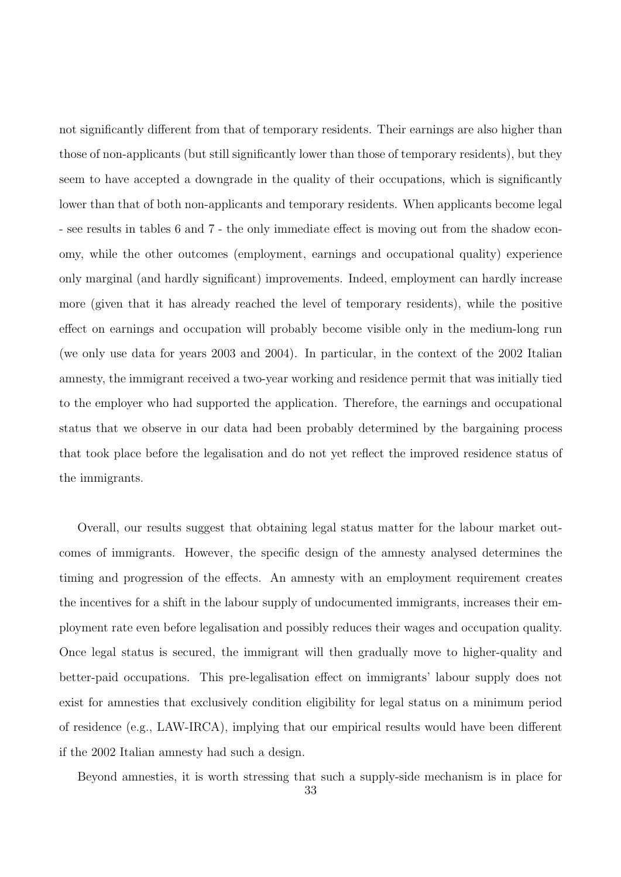not significantly different from that of temporary residents. Their earnings are also higher than those of non-applicants (but still significantly lower than those of temporary residents), but they seem to have accepted a downgrade in the quality of their occupations, which is significantly lower than that of both non-applicants and temporary residents. When applicants become legal - see results in tables 6 and 7 - the only immediate effect is moving out from the shadow economy, while the other outcomes (employment, earnings and occupational quality) experience only marginal (and hardly significant) improvements. Indeed, employment can hardly increase more (given that it has already reached the level of temporary residents), while the positive effect on earnings and occupation will probably become visible only in the medium-long run (we only use data for years 2003 and 2004). In particular, in the context of the 2002 Italian amnesty, the immigrant received a two-year working and residence permit that was initially tied to the employer who had supported the application. Therefore, the earnings and occupational status that we observe in our data had been probably determined by the bargaining process that took place before the legalisation and do not yet reflect the improved residence status of the immigrants.

Overall, our results suggest that obtaining legal status matter for the labour market outcomes of immigrants. However, the specific design of the amnesty analysed determines the timing and progression of the effects. An amnesty with an employment requirement creates the incentives for a shift in the labour supply of undocumented immigrants, increases their employment rate even before legalisation and possibly reduces their wages and occupation quality. Once legal status is secured, the immigrant will then gradually move to higher-quality and better-paid occupations. This pre-legalisation effect on immigrants' labour supply does not exist for amnesties that exclusively condition eligibility for legal status on a minimum period of residence (e.g., LAW-IRCA), implying that our empirical results would have been different if the 2002 Italian amnesty had such a design.

Beyond amnesties, it is worth stressing that such a supply-side mechanism is in place for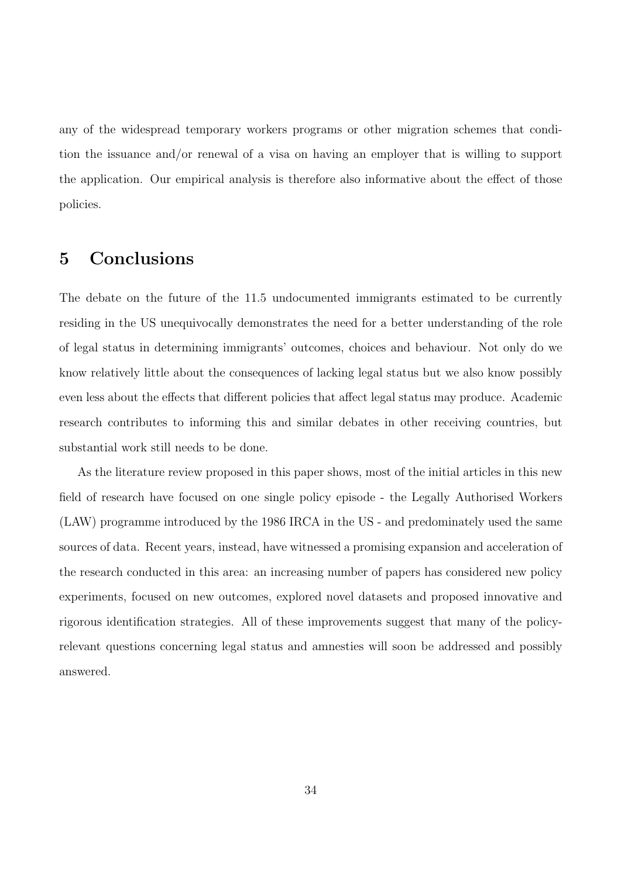any of the widespread temporary workers programs or other migration schemes that condition the issuance and/or renewal of a visa on having an employer that is willing to support the application. Our empirical analysis is therefore also informative about the effect of those policies.

## 5 Conclusions

The debate on the future of the 11.5 undocumented immigrants estimated to be currently residing in the US unequivocally demonstrates the need for a better understanding of the role of legal status in determining immigrants' outcomes, choices and behaviour. Not only do we know relatively little about the consequences of lacking legal status but we also know possibly even less about the effects that different policies that affect legal status may produce. Academic research contributes to informing this and similar debates in other receiving countries, but substantial work still needs to be done.

As the literature review proposed in this paper shows, most of the initial articles in this new field of research have focused on one single policy episode - the Legally Authorised Workers (LAW) programme introduced by the 1986 IRCA in the US - and predominately used the same sources of data. Recent years, instead, have witnessed a promising expansion and acceleration of the research conducted in this area: an increasing number of papers has considered new policy experiments, focused on new outcomes, explored novel datasets and proposed innovative and rigorous identification strategies. All of these improvements suggest that many of the policyrelevant questions concerning legal status and amnesties will soon be addressed and possibly answered.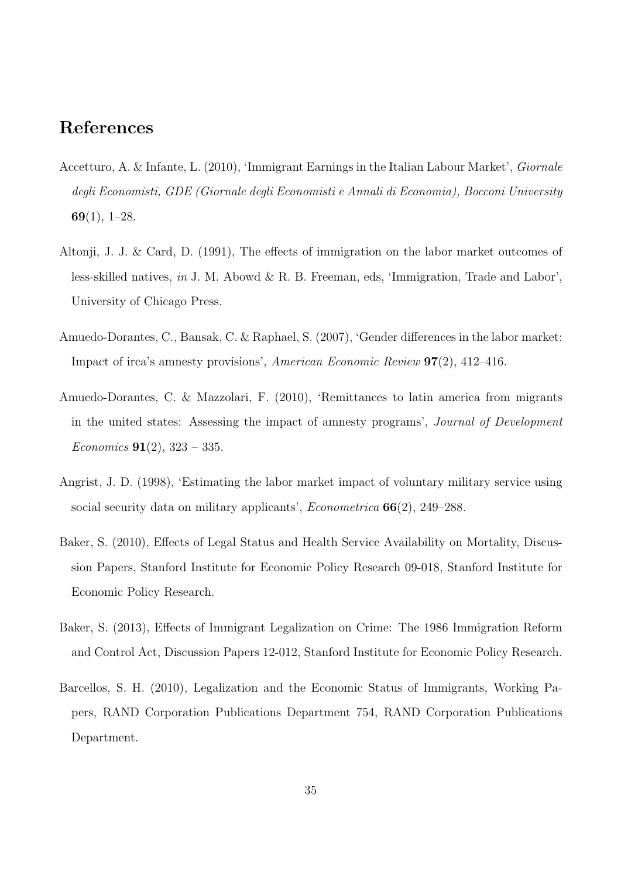## References

- Accetturo, A. & Infante, L. (2010), 'Immigrant Earnings in the Italian Labour Market', Giornale degli Economisti, GDE (Giornale degli Economisti e Annali di Economia), Bocconi University  $69(1), 1-28.$
- Altonji, J. J. & Card, D. (1991), The effects of immigration on the labor market outcomes of less-skilled natives, in J. M. Abowd & R. B. Freeman, eds, 'Immigration, Trade and Labor', University of Chicago Press.
- Amuedo-Dorantes, C., Bansak, C. & Raphael, S. (2007), 'Gender differences in the labor market: Impact of irca's amnesty provisions', American Economic Review 97(2), 412–416.
- Amuedo-Dorantes, C. & Mazzolari, F. (2010), 'Remittances to latin america from migrants in the united states: Assessing the impact of amnesty programs', Journal of Development *Economics* **91**(2), 323 – 335.
- Angrist, J. D. (1998), 'Estimating the labor market impact of voluntary military service using social security data on military applicants', *Econometrica*  $66(2)$ , 249–288.
- Baker, S. (2010), Effects of Legal Status and Health Service Availability on Mortality, Discussion Papers, Stanford Institute for Economic Policy Research 09-018, Stanford Institute for Economic Policy Research.
- Baker, S. (2013), Effects of Immigrant Legalization on Crime: The 1986 Immigration Reform and Control Act, Discussion Papers 12-012, Stanford Institute for Economic Policy Research.
- Barcellos, S. H. (2010), Legalization and the Economic Status of Immigrants, Working Papers, RAND Corporation Publications Department 754, RAND Corporation Publications Department.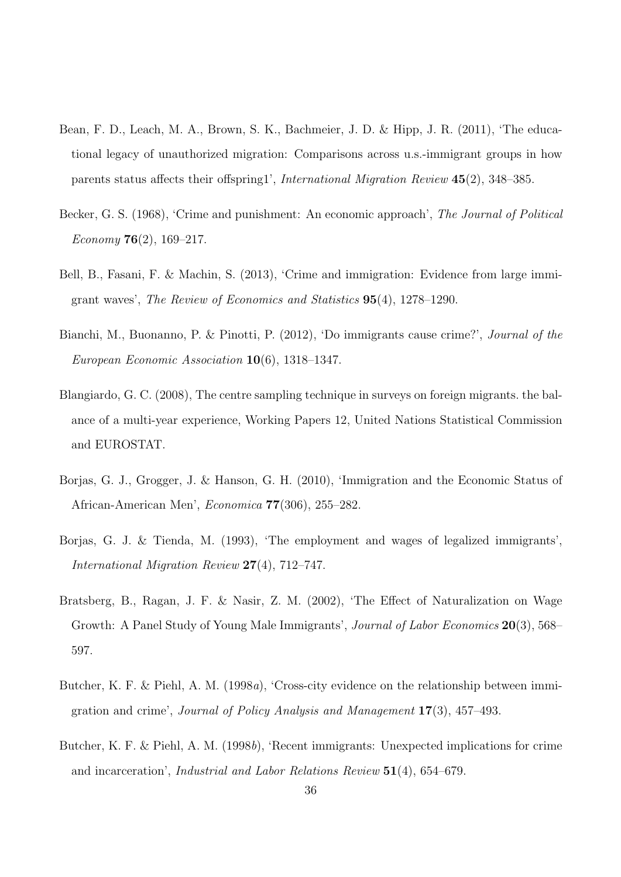- Bean, F. D., Leach, M. A., Brown, S. K., Bachmeier, J. D. & Hipp, J. R. (2011), 'The educational legacy of unauthorized migration: Comparisons across u.s.-immigrant groups in how parents status affects their offspring1', International Migration Review 45(2), 348–385.
- Becker, G. S. (1968), 'Crime and punishment: An economic approach', The Journal of Political Economy  $76(2)$ , 169–217.
- Bell, B., Fasani, F. & Machin, S. (2013), 'Crime and immigration: Evidence from large immigrant waves', The Review of Economics and Statistics 95(4), 1278–1290.
- Bianchi, M., Buonanno, P. & Pinotti, P. (2012), 'Do immigrants cause crime?', Journal of the European Economic Association 10(6), 1318–1347.
- Blangiardo, G. C. (2008), The centre sampling technique in surveys on foreign migrants. the balance of a multi-year experience, Working Papers 12, United Nations Statistical Commission and EUROSTAT.
- Borjas, G. J., Grogger, J. & Hanson, G. H. (2010), 'Immigration and the Economic Status of African-American Men', Economica 77(306), 255–282.
- Borjas, G. J. & Tienda, M. (1993), 'The employment and wages of legalized immigrants', International Migration Review 27(4), 712–747.
- Bratsberg, B., Ragan, J. F. & Nasir, Z. M. (2002), 'The Effect of Naturalization on Wage Growth: A Panel Study of Young Male Immigrants', *Journal of Labor Economics* 20(3), 568– 597.
- Butcher, K. F. & Piehl, A. M. (1998a), 'Cross-city evidence on the relationship between immigration and crime', Journal of Policy Analysis and Management 17(3), 457–493.
- Butcher, K. F. & Piehl, A. M. (1998b), 'Recent immigrants: Unexpected implications for crime and incarceration', Industrial and Labor Relations Review 51(4), 654–679.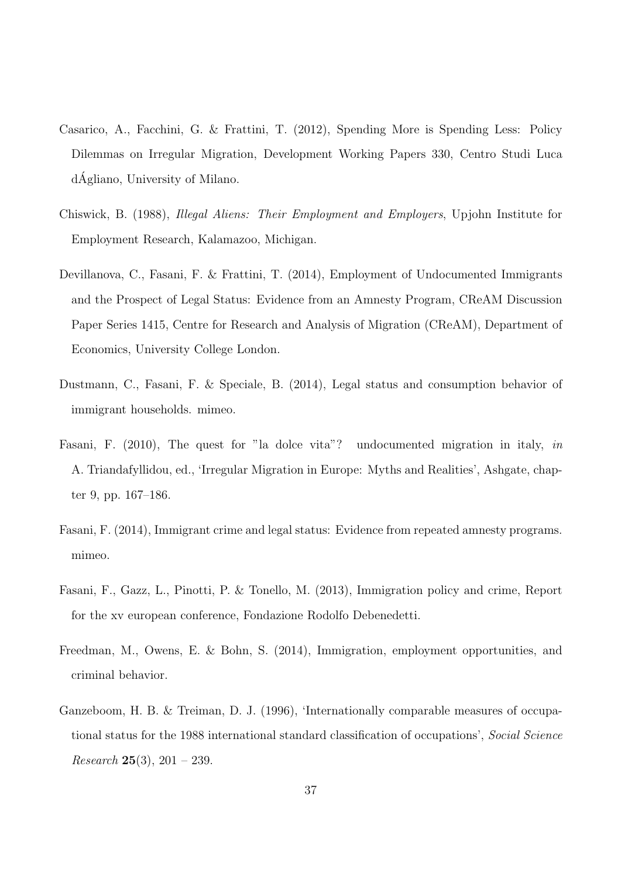- Casarico, A., Facchini, G. & Frattini, T. (2012), Spending More is Spending Less: Policy Dilemmas on Irregular Migration, Development Working Papers 330, Centro Studi Luca dAgliano, University of Milano. ´
- Chiswick, B. (1988), Illegal Aliens: Their Employment and Employers, Upjohn Institute for Employment Research, Kalamazoo, Michigan.
- Devillanova, C., Fasani, F. & Frattini, T. (2014), Employment of Undocumented Immigrants and the Prospect of Legal Status: Evidence from an Amnesty Program, CReAM Discussion Paper Series 1415, Centre for Research and Analysis of Migration (CReAM), Department of Economics, University College London.
- Dustmann, C., Fasani, F. & Speciale, B. (2014), Legal status and consumption behavior of immigrant households. mimeo.
- Fasani, F. (2010), The quest for "la dolce vita"? undocumented migration in italy, in A. Triandafyllidou, ed., 'Irregular Migration in Europe: Myths and Realities', Ashgate, chapter 9, pp. 167–186.
- Fasani, F. (2014), Immigrant crime and legal status: Evidence from repeated amnesty programs. mimeo.
- Fasani, F., Gazz, L., Pinotti, P. & Tonello, M. (2013), Immigration policy and crime, Report for the xv european conference, Fondazione Rodolfo Debenedetti.
- Freedman, M., Owens, E. & Bohn, S. (2014), Immigration, employment opportunities, and criminal behavior.
- Ganzeboom, H. B. & Treiman, D. J. (1996), 'Internationally comparable measures of occupational status for the 1988 international standard classification of occupations', Social Science Research 25(3),  $201 - 239$ .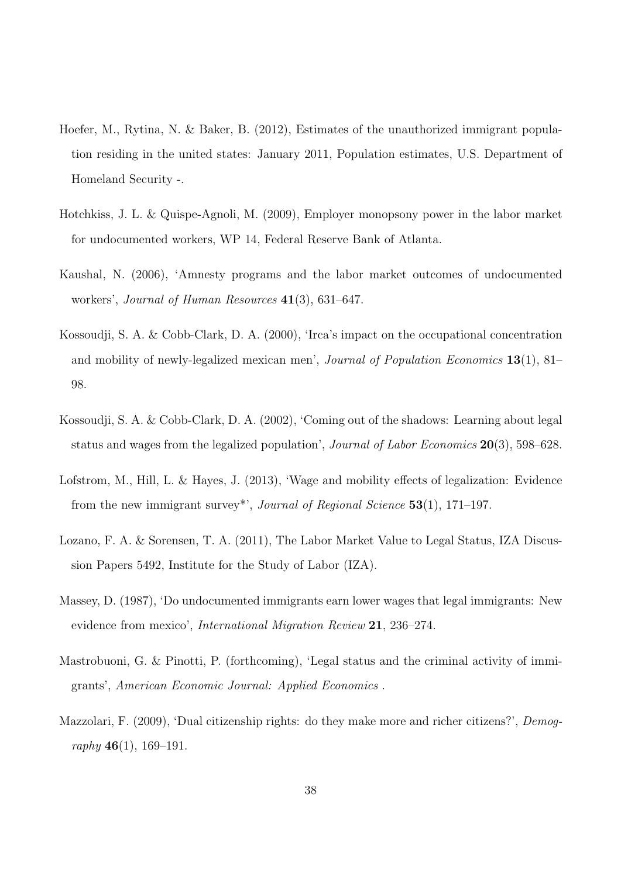- Hoefer, M., Rytina, N. & Baker, B. (2012), Estimates of the unauthorized immigrant population residing in the united states: January 2011, Population estimates, U.S. Department of Homeland Security -.
- Hotchkiss, J. L. & Quispe-Agnoli, M. (2009), Employer monopsony power in the labor market for undocumented workers, WP 14, Federal Reserve Bank of Atlanta.
- Kaushal, N. (2006), 'Amnesty programs and the labor market outcomes of undocumented workers', *Journal of Human Resources* 41(3), 631–647.
- Kossoudji, S. A. & Cobb-Clark, D. A. (2000), 'Irca's impact on the occupational concentration and mobility of newly-legalized mexican men', Journal of Population Economics 13(1), 81– 98.
- Kossoudji, S. A. & Cobb-Clark, D. A. (2002), 'Coming out of the shadows: Learning about legal status and wages from the legalized population', Journal of Labor Economics 20(3), 598–628.
- Lofstrom, M., Hill, L. & Hayes, J. (2013), 'Wage and mobility effects of legalization: Evidence from the new immigrant survey<sup>\*</sup>', *Journal of Regional Science* 53(1), 171–197.
- Lozano, F. A. & Sorensen, T. A. (2011), The Labor Market Value to Legal Status, IZA Discussion Papers 5492, Institute for the Study of Labor (IZA).
- Massey, D. (1987), 'Do undocumented immigrants earn lower wages that legal immigrants: New evidence from mexico', International Migration Review 21, 236–274.
- Mastrobuoni, G. & Pinotti, P. (forthcoming), 'Legal status and the criminal activity of immigrants', American Economic Journal: Applied Economics .
- Mazzolari, F. (2009), 'Dual citizenship rights: do they make more and richer citizens?', Demography  $46(1)$ , 169-191.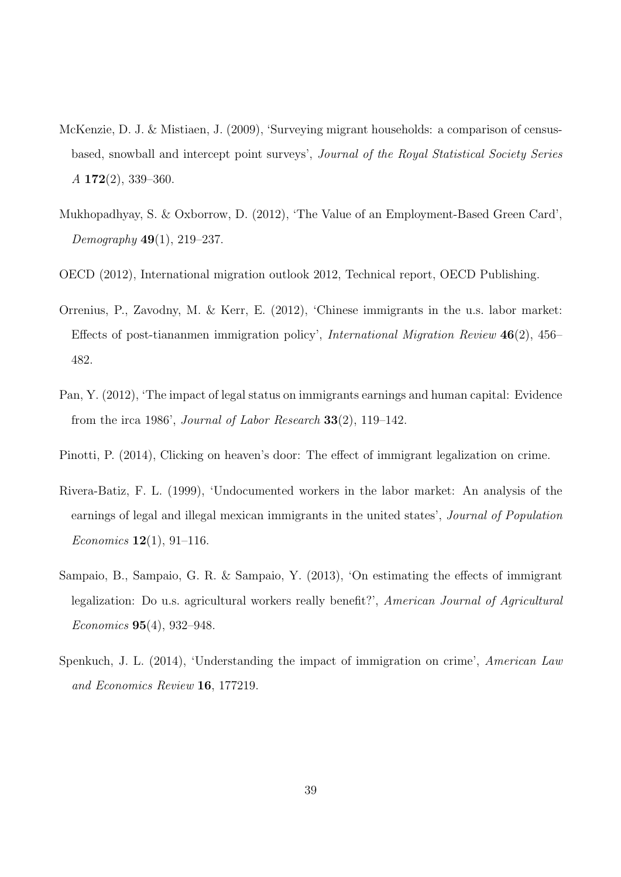- McKenzie, D. J. & Mistiaen, J. (2009), 'Surveying migrant households: a comparison of censusbased, snowball and intercept point surveys', Journal of the Royal Statistical Society Series  $A$  172(2), 339–360.
- Mukhopadhyay, S. & Oxborrow, D. (2012), 'The Value of an Employment-Based Green Card', Demography  $49(1)$ , 219–237.
- OECD (2012), International migration outlook 2012, Technical report, OECD Publishing.
- Orrenius, P., Zavodny, M. & Kerr, E. (2012), 'Chinese immigrants in the u.s. labor market: Effects of post-tiananmen immigration policy', International Migration Review 46(2), 456– 482.
- Pan, Y. (2012), 'The impact of legal status on immigrants earnings and human capital: Evidence from the irca 1986', Journal of Labor Research  $33(2)$ , 119–142.
- Pinotti, P. (2014), Clicking on heaven's door: The effect of immigrant legalization on crime.
- Rivera-Batiz, F. L. (1999), 'Undocumented workers in the labor market: An analysis of the earnings of legal and illegal mexican immigrants in the united states', Journal of Population *Economics* **12**(1), 91–116.
- Sampaio, B., Sampaio, G. R. & Sampaio, Y. (2013), 'On estimating the effects of immigrant legalization: Do u.s. agricultural workers really benefit?', American Journal of Agricultural Economics 95(4), 932–948.
- Spenkuch, J. L. (2014), 'Understanding the impact of immigration on crime', American Law and Economics Review 16, 177219.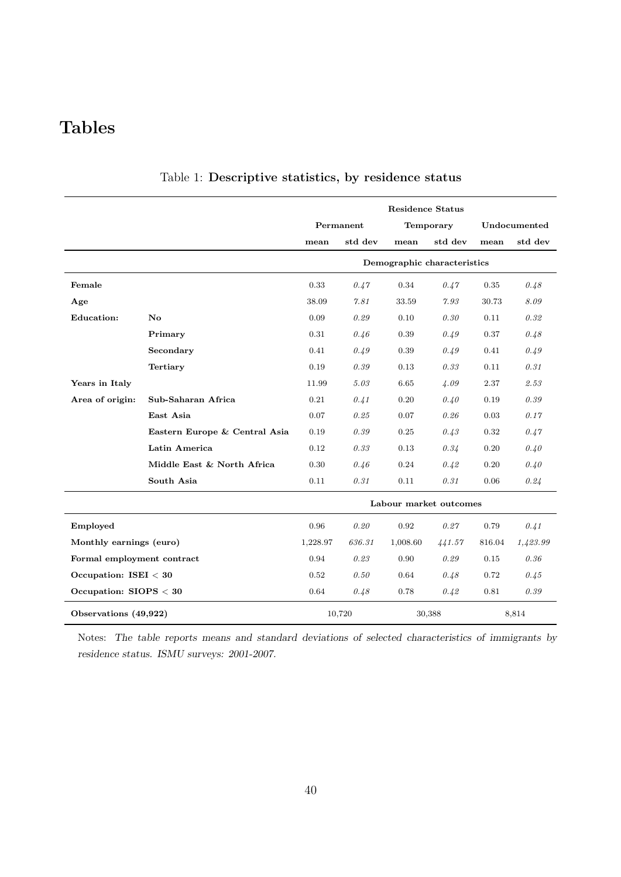## Tables

|                            |                               |          |           | <b>Residence Status</b>     |           |        |              |
|----------------------------|-------------------------------|----------|-----------|-----------------------------|-----------|--------|--------------|
|                            |                               |          | Permanent |                             | Temporary |        | Undocumented |
|                            |                               | mean     | std dev   | mean                        | std dev   | mean   | std dev      |
|                            |                               |          |           | Demographic characteristics |           |        |              |
| Female                     |                               | 0.33     | 0.47      | 0.34                        | 0.47      | 0.35   | 0.48         |
| Age                        |                               | 38.09    | 7.81      | 33.59                       | 7.93      | 30.73  | 8.09         |
| <b>Education:</b>          | $\mathbf{N}\mathbf{o}$        | 0.09     | 0.29      | 0.10                        | 0.30      | 0.11   | 0.32         |
|                            | Primary                       | 0.31     | 0.46      | 0.39                        | 0.49      | 0.37   | 0.48         |
|                            | Secondary                     | 0.41     | 0.49      | 0.39                        | 0.49      | 0.41   | 0.49         |
|                            | <b>Tertiary</b>               | 0.19     | 0.39      | 0.13                        | 0.33      | 0.11   | 0.31         |
| Years in Italy             |                               | 11.99    | 5.03      | 6.65                        | 4.09      | 2.37   | 2.53         |
| Area of origin:            | Sub-Saharan Africa            | 0.21     | 0.41      | 0.20                        | 0.40      | 0.19   | 0.39         |
|                            | East Asia                     | 0.07     | 0.25      | 0.07                        | 0.26      | 0.03   | 0.17         |
|                            | Eastern Europe & Central Asia | 0.19     | 0.39      | 0.25                        | 0.43      | 0.32   | 0.47         |
|                            | Latin America                 | 0.12     | 0.33      | 0.13                        | 0.34      | 0.20   | 0.40         |
|                            | Middle East & North Africa    | 0.30     | 0.46      | 0.24                        | 0.42      | 0.20   | 0.40         |
|                            | South Asia                    | 0.11     | 0.31      | 0.11                        | 0.31      | 0.06   | 0.24         |
|                            |                               |          |           | Labour market outcomes      |           |        |              |
| Employed                   |                               | 0.96     | 0.20      | 0.92                        | 0.27      | 0.79   | 0.41         |
| Monthly earnings (euro)    |                               | 1,228.97 | 636.31    | 1,008.60                    | 441.57    | 816.04 | 1,423.99     |
| Formal employment contract |                               | 0.94     | 0.23      | 0.90                        | 0.29      | 0.15   | 0.36         |
| Occupation: ISEI $<$ 30    |                               | 0.52     | 0.50      | 0.64                        | 0.48      | 0.72   | 0.45         |
| Occupation: $SIOPS < 30$   |                               | 0.64     | 0.48      | 0.78                        | 0.42      | 0.81   | 0.39         |
| Observations (49,922)      |                               |          | 10,720    |                             | 30,388    |        | 8,814        |

#### Table 1: Descriptive statistics, by residence status

Notes: The table reports means and standard deviations of selected characteristics of immigrants by residence status. ISMU surveys: 2001-2007.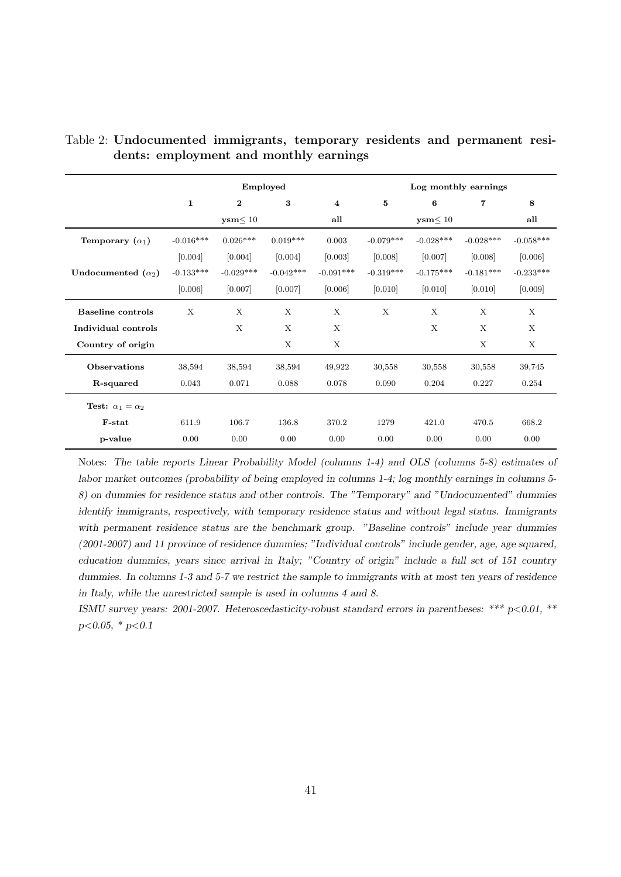|                                    |              |                        | Employed    |                         |             | Log monthly earnings   |                |             |
|------------------------------------|--------------|------------------------|-------------|-------------------------|-------------|------------------------|----------------|-------------|
|                                    | $\mathbf{1}$ | $\bf{2}$               | 3           | $\overline{\mathbf{4}}$ | 5           | 6                      | $\overline{7}$ | 8           |
|                                    |              | $\textbf{ysm} \leq 10$ |             | all                     |             | $\textbf{ysm} \leq 10$ |                | all         |
| Temporary $(\alpha_1)$             | $-0.016***$  | $0.026***$             | $0.019***$  | 0.003                   | $-0.079***$ | $-0.028***$            | $-0.028***$    | $-0.058***$ |
|                                    | [0.004]      | [0.004]                | [0.004]     | [0.003]                 | [0.008]     | [0.007]                | [0.008]        | [0.006]     |
| Undocumented $(\alpha_2)$          | $-0.133***$  | $-0.029***$            | $-0.042***$ | $-0.091***$             | $-0.319***$ | $-0.175***$            | $-0.181***$    | $-0.233***$ |
|                                    | [0.006]      | [0.007]                | [0.007]     | [0.006]                 | [0.010]     | [0.010]                | [0.010]        | [0.009]     |
| <b>Baseline</b> controls           | X            | X                      | X           | X                       | X           | X                      | X              | X           |
| Individual controls                |              | X                      | X           | X                       |             | X                      | X              | X           |
| Country of origin                  |              |                        | X           | X                       |             |                        | $\mathbf{X}$   | X           |
| Observations                       | 38,594       | 38,594                 | 38,594      | 49,922                  | 30,558      | 30,558                 | 30,558         | 39,745      |
| R-squared                          | 0.043        | 0.071                  | 0.088       | 0.078                   | 0.090       | 0.204                  | 0.227          | 0.254       |
| <b>Test:</b> $\alpha_1 = \alpha_2$ |              |                        |             |                         |             |                        |                |             |
| F-stat                             | 611.9        | 106.7                  | 136.8       | 370.2                   | 1279        | 421.0                  | 470.5          | 668.2       |
| p-value                            | 0.00         | 0.00                   | 0.00        | 0.00                    | 0.00        | 0.00                   | 0.00           | 0.00        |

Table 2: Undocumented immigrants, temporary residents and permanent residents: employment and monthly earnings

Notes: The table reports Linear Probability Model (columns 1-4) and OLS (columns 5-8) estimates of labor market outcomes (probability of being employed in columns 1-4; log monthly earnings in columns 5- 8) on dummies for residence status and other controls. The "Temporary" and "Undocumented" dummies identify immigrants, respectively, with temporary residence status and without legal status. Immigrants with permanent residence status are the benchmark group. "Baseline controls" include year dummies (2001-2007) and 11 province of residence dummies; "Individual controls" include gender, age, age squared, education dummies, years since arrival in Italy; "Country of origin" include a full set of 151 country dummies. In columns 1-3 and 5-7 we restrict the sample to immigrants with at most ten years of residence in Italy, while the unrestricted sample is used in columns 4 and 8.

ISMU survey years: 2001-2007. Heteroscedasticity-robust standard errors in parentheses: \*\*\* p<0.01, \*\*  $p<0.05$ , \*  $p<0.1$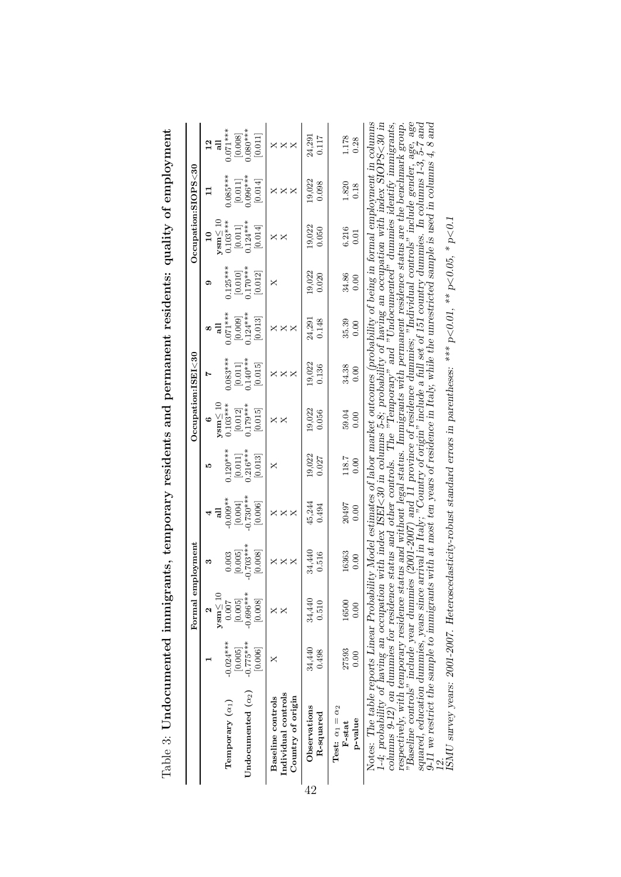|    |                                                                                                                                                                                                                                                                                                                                                                                                                                                                                                                                                                                                                                                                                                                                                                                                                                                                                                                                                                                     |                        | Formal employment      |                        |                                                                                                              |                       |                                               | Occupation: ISEI < 30 |                       |                                  |                                      | $O$ ccupation:SIOPS<30 |                       |
|----|-------------------------------------------------------------------------------------------------------------------------------------------------------------------------------------------------------------------------------------------------------------------------------------------------------------------------------------------------------------------------------------------------------------------------------------------------------------------------------------------------------------------------------------------------------------------------------------------------------------------------------------------------------------------------------------------------------------------------------------------------------------------------------------------------------------------------------------------------------------------------------------------------------------------------------------------------------------------------------------|------------------------|------------------------|------------------------|--------------------------------------------------------------------------------------------------------------|-----------------------|-----------------------------------------------|-----------------------|-----------------------|----------------------------------|--------------------------------------|------------------------|-----------------------|
|    |                                                                                                                                                                                                                                                                                                                                                                                                                                                                                                                                                                                                                                                                                                                                                                                                                                                                                                                                                                                     |                        | $ysm \leq 10$          | s                      | $\overline{a}$<br>4                                                                                          | J.                    | $\mathbf{y}\mathbf{s}\mathbf{m} \leq 10$<br>O |                       | $\overline{a}$<br>œ   | ග                                | $y\text{sm} \leq 10$<br>$\mathbf{r}$ |                        | $\frac{2}{6}$         |
|    | Temporary $(\alpha_1)$                                                                                                                                                                                                                                                                                                                                                                                                                                                                                                                                                                                                                                                                                                                                                                                                                                                                                                                                                              | $-0.024***$<br>[0.005] | [0.005]<br>0.007       | [0.005]<br>0.003       | $-0.009**$<br>[0.004]                                                                                        | $0.120***$<br>[0.011] | $0.103***$                                    | $0.083***$<br>[0.011] | $0.071***$<br>[0.009] | $0.125***$                       | $0.103***$<br>[0.011]                | $0.085***$<br>[0.011]  | $0.071***$<br>[0.008] |
|    | Undocumented $(\alpha_2)$                                                                                                                                                                                                                                                                                                                                                                                                                                                                                                                                                                                                                                                                                                                                                                                                                                                                                                                                                           | $-0.775***$<br>[0.006] | $-0.696***$<br>[0.008] | $-0.703***$<br>[0.008] | $0.730***$<br>[0.006]                                                                                        | $0.216***$<br>[0.013] | $[0.012]$<br>$0.179***$<br>[0.015]            | $0.140***$<br>[0.015] | $0.124***$<br>[0.013] | $[0.010]$<br>0.170***<br>[0.012] | $0.124***$<br>[0.014]                | $0.096***$<br>[0.014]  | $0.080***$<br>[0.011] |
|    | Individual controls<br>Country of origin<br><b>Baseline</b> controls                                                                                                                                                                                                                                                                                                                                                                                                                                                                                                                                                                                                                                                                                                                                                                                                                                                                                                                | ×                      |                        | $\times\times\times$   | $\times$<br>×<br>×.                                                                                          | ×                     | X.<br>×                                       | X<br>×                | $\times$<br>×         | ×                                | ×<br>×                               | X<br>×<br>×            | $\times\times\times$  |
| 19 | Observations<br>R-squared                                                                                                                                                                                                                                                                                                                                                                                                                                                                                                                                                                                                                                                                                                                                                                                                                                                                                                                                                           | 34,440<br>0.498        | 34,440<br>0.510        | 34,440<br>0.516        | 45,244<br>0.494                                                                                              | 19,022<br>0.027       | 19,022<br>0.056                               | 19,022<br>0.136       | 0.148<br>24,291       | 19,022<br>0.020                  | 19,022<br>0.050                      | 19,022<br>0.098        | 24,291<br>0.117       |
|    | Test: $\alpha_1 = \alpha_2$<br>p-value<br>F-stat                                                                                                                                                                                                                                                                                                                                                                                                                                                                                                                                                                                                                                                                                                                                                                                                                                                                                                                                    | 27593<br>0.00          | 16500<br>0.00          | 16363<br>0.00          | 20497<br>0.00                                                                                                | 118.7<br>0.00         | 59.04<br>0.00                                 | 34.38<br>0.00         | 35.39<br>0.00         | 34.86<br>0.00                    | 6.216<br>0.01                        | 1.820<br>0.18          | 1.178<br>0.28         |
|    | "Baseline controls" include year dummies (2001-2007) and 11 province of residence dummies; "Individual controls" include gender, age, age<br>squared, education dummies, years since arrival in Italy; "Country of origin" includ<br>Notes: The table reports Linear Probability Model estimates of labor market outcomes (probability of being in formal employment in columns<br>respectively, with temporary residence status and without legal status. Immigrants with permanent residence status are the benchmark group.<br>1-4; probability of having an occupation with index ISEI<30 in columns 5-8; probability of having an occupation with index SIOPS<30 in<br>columns 9-12) on dummies for residence status and other controls. The "Temporary" and "Undocumented" dummies identify immigrants,<br>ISMU survey years: 2001-2007. Heteroscedasticity-robust standard errors in parentheses: *** p<0.01, ** p<0.05, * p<0.1<br>9-11 we restrict the sample to immigrant |                        |                        |                        | is with at most ten years of residence in Italy, while the unrestricted sample is used in columns $4, 8$ and |                       |                                               |                       |                       |                                  |                                      |                        |                       |

Table 3: Undocumented immigrants, temporary residents and permanent residents: quality of employment Table 3: Undocumented immigrants, temporary residents and permanent residents: quality of employment

 $\frac{1}{42}$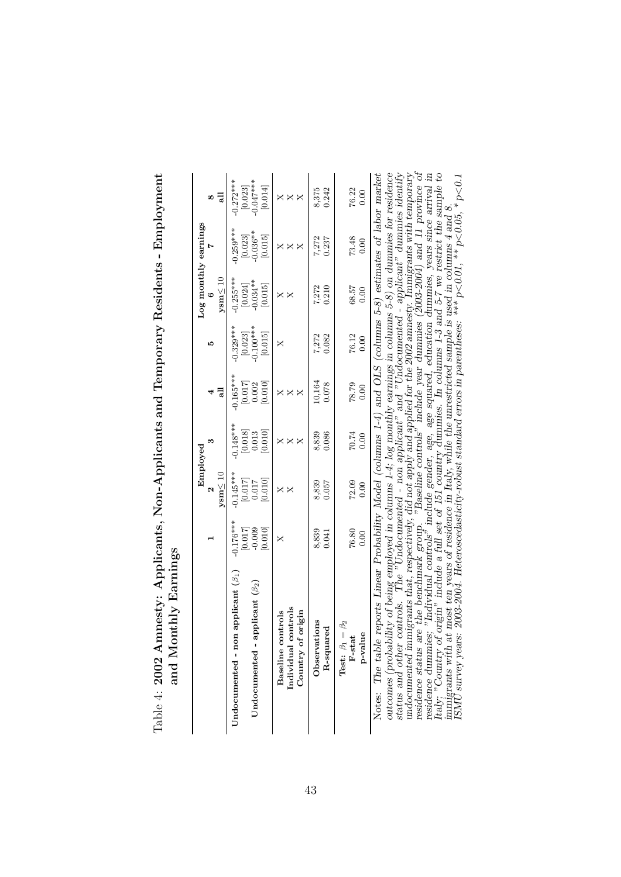|                                                                                                                                                                                                                                                                                                                                                     |                                          |                                                           | Employed                                                  |                                                           |                                     |                                                 | Log monthly earnings               |                                     |
|-----------------------------------------------------------------------------------------------------------------------------------------------------------------------------------------------------------------------------------------------------------------------------------------------------------------------------------------------------|------------------------------------------|-----------------------------------------------------------|-----------------------------------------------------------|-----------------------------------------------------------|-------------------------------------|-------------------------------------------------|------------------------------------|-------------------------------------|
|                                                                                                                                                                                                                                                                                                                                                     |                                          | $ysm \leq 10$                                             |                                                           | 듾                                                         | J.                                  | $\mathbf{y}\mathbf{s}\mathbf{m} \leq 10$<br>G   |                                    |                                     |
| Undocumented - non applicant $(\beta_1)$                                                                                                                                                                                                                                                                                                            | $-0.176***$                              | $-0.145***$                                               | $-0.148***$                                               | $-0.165***$                                               | $-0.329***$                         | $-0.255***$                                     | $-0.259***$                        | $-0.272***$                         |
| applicant $(\beta_2)$<br>Undocumented -                                                                                                                                                                                                                                                                                                             | 600.0-<br>[2T0 <sup>.0]</sup><br>[0.010] | $\begin{bmatrix} 0.017 \\ 1.000 \end{bmatrix}$<br>[0.010] | $\begin{bmatrix} 0.018 \\ 0.013 \end{bmatrix}$<br>[0.010] | [0.010]<br>$\begin{bmatrix} 0.017 \\ 0.002 \end{bmatrix}$ | $[0.023]$<br>$-0.100***$<br>[0.015] | $[0.024]$<br>$-0.034**$<br>$\left[0.015\right]$ | $[0.023]$<br>$-0.036**$<br>[0.015] | $[0.023]$<br>$-0.047***$<br>[0.014] |
| controls<br>origin<br>Baseline controls<br>Country of<br>Individual                                                                                                                                                                                                                                                                                 | ×                                        | ×                                                         | X<br>×                                                    | X<br>Χ                                                    | ×                                   | $\times$<br>×.                                  |                                    | ×                                   |
| Observations<br>red<br>R-squar                                                                                                                                                                                                                                                                                                                      | 8,839<br>0.041                           | 0.057<br>8,839                                            | 8,839<br>0.086                                            | 10,164<br>0.078                                           | 0.082<br>7,272                      | 7,272<br>0.210                                  | 0.237<br>7,272                     | 8,375<br>0.242                      |
| Test: $\beta_1=\beta_2$<br>p-value<br>F-stat                                                                                                                                                                                                                                                                                                        | $76.80\,$<br>0.00                        | 72.09<br>0.00                                             | $70.74\,$<br>0.00                                         | 78.79<br>0.00                                             | 76.12<br>0.00                       | 68.57<br>0.00                                   | 73.48<br>0.00                      | 76.22<br><u>ទី</u>                  |
| outcomes (probability of being employed in columns 1-4; log monthly earnings in columns 5-8) on dummies for residence<br>status and other controls. The "Undocumented - non applicant" and "Undocumented - applicant" dummies id<br>Notes: The table reports Linear Probability Model (columns 1-4) and OLS (columns 5-8) estimates of labor market |                                          |                                                           |                                                           |                                                           |                                     |                                                 |                                    |                                     |

| sty: Applicants, Non-Applicants and Temporary Residents - Emplo<br>Ľ |                                                        |
|----------------------------------------------------------------------|--------------------------------------------------------|
|                                                                      |                                                        |
| I                                                                    |                                                        |
|                                                                      |                                                        |
|                                                                      |                                                        |
|                                                                      | $\frac{1}{1}$<br>$\frac{1}{1}$<br> <br> <br> <br> <br> |
| Table 4: $2002$ Amn                                                  | İ<br>and Mo.                                           |
|                                                                      |                                                        |

undocumented immigrants that, respectively, did not apply and applied for the 2002 annesty. Immigrants with temporary<br>residence status are the benchmark group. "Baseline controls" include year dummies (2003-2004) and 11 p undocumented immigrants that, respectively, did not apply and applied for the 2002 annesty. Immigrants with temporary<br>residence status are the benchmark group. "Baseline controls" include year dummies (2003-2004) and 11 pr outcomes (probability of being employed in columns 1-4; log monthly earnings in columns 5-8) on dummies for residence<br>status and other controls. The "Undocumented - non applicant" and "Undocumented - applicant" dummies id Italy; "Country of origin" include a full set of 151 country dummies. In columns 1-3 and 5-7 we restrict the sample to residence dummies; "Individual controls" include gender, age, age squared, education dummies, years since arrival in immigrants with at most ten years of residence in Italy, while the unrestricted sample is used in columns 4 and 8.<br>ISMU survey years: 2003-2004. Heteroscedasticity-robust standard errors in parentheses: \*\*\* p<0.01, \*\* p<0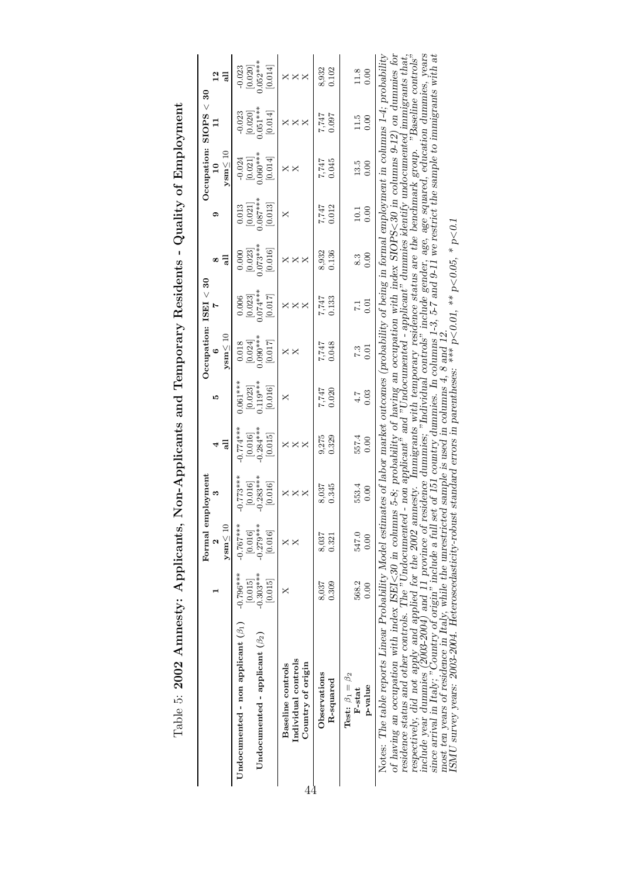|   |                                                                                                                                                                                                                                                                                                                                                                                                                                                                                                                                                          |                        | Formal en              | mployment                           |                        |                                    | Oecupation: ISEI < 30                                                                              |                                                                                                    |                                    |                                                              |                                     | $O$ ccupation: SIOPS $<$ 30         |                                     |
|---|----------------------------------------------------------------------------------------------------------------------------------------------------------------------------------------------------------------------------------------------------------------------------------------------------------------------------------------------------------------------------------------------------------------------------------------------------------------------------------------------------------------------------------------------------------|------------------------|------------------------|-------------------------------------|------------------------|------------------------------------|----------------------------------------------------------------------------------------------------|----------------------------------------------------------------------------------------------------|------------------------------------|--------------------------------------------------------------|-------------------------------------|-------------------------------------|-------------------------------------|
|   |                                                                                                                                                                                                                                                                                                                                                                                                                                                                                                                                                          |                        | $y \text{sm} \leq 10$  | ಣ                                   | $\overline{a}$         | D.                                 | $y\text{sm} \leq 10$                                                                               |                                                                                                    | 듾<br>œ                             | ග                                                            | $y \sin \leq 10$<br>$\overline{a}$  |                                     | 12                                  |
|   | Undocumented - non applicant $(\beta_1)$                                                                                                                                                                                                                                                                                                                                                                                                                                                                                                                 | $-0.796***$<br>[0.015] | $-0.767***$<br>[0.016] | $-0.773***$<br>$\left[0.016\right]$ | $-0.774***$<br>[0.016] | $0.061***$                         | $\begin{bmatrix} 0.018 \\ 0.024 \end{bmatrix}$<br>$\begin{bmatrix} 0.024 \\ 0.90*** \end{bmatrix}$ | $\begin{bmatrix} 0.006 \\ 0.023 \end{bmatrix}$<br>$\begin{bmatrix} 0.023 \\ 0.74*** \end{bmatrix}$ | 0.000                              | $\begin{bmatrix} 0.013 \\ 0.021 \end{bmatrix}$<br>$0.087***$ | $-0.024$<br>$[0.021]$<br>$0.060***$ | $-0.023$<br>$[0.020]$<br>$0.051***$ | $-0.023$<br>$[0.020]$<br>$0.052***$ |
|   | Undocumented - applicant $(\beta_2)$                                                                                                                                                                                                                                                                                                                                                                                                                                                                                                                     | $-0.303***$<br>[0.015] | $-0.279***$<br>[910.0] | $0.283***$<br>[0.016]               | $0.284***$<br>[0.015]  | $[0.023]$<br>$0.119***$<br>[0.016] | [0.017]                                                                                            | $[0.017]$                                                                                          | $[0.023]$<br>$0.073***$<br>[0.016] | [0.013]                                                      | [0.014]                             | [0.014]                             | [0.014]                             |
| 4 | Individual controls<br>Country of origin<br>Baseline controls                                                                                                                                                                                                                                                                                                                                                                                                                                                                                            |                        |                        | xxx                                 | $\times\times\times$   | X                                  | $\times$                                                                                           | xxx                                                                                                | $\times$                           | ×                                                            | $\times\times$                      | $\times$                            | xxx                                 |
|   | Observations<br>R-squared                                                                                                                                                                                                                                                                                                                                                                                                                                                                                                                                | 0.309<br>8,037         | 8,037<br>0.321         | 0.345<br>8,037                      | 9,275<br>0.329         | 7,747<br>0.020                     | 0.048<br>7,747                                                                                     | 7,747<br>0.133                                                                                     | 8,932<br>0.136                     | 0.012<br>7,747                                               | 0.045<br>7,747                      | 7,747<br>0.097                      | 8,932<br>0.102                      |
|   | <b>Test:</b> $\beta_1 = \beta_2$<br>p-value<br>F-stat                                                                                                                                                                                                                                                                                                                                                                                                                                                                                                    | 568.2<br>0.00          | 547.0<br>0.00          | 553.4<br>0.00                       | 557.4<br>0.00          | 0.03<br>4.7                        | 0.01<br>7.3                                                                                        | $\frac{10}{17}$                                                                                    | 0.00<br>8.3                        | 0.00<br>$\overline{0}$                                       | 13.5<br>0.00                        | 11.5<br>0.00                        | 11.8<br>0.00                        |
|   | Notes: The table reports Linear Probability Model estimates of labor market outcomes (probability of being in formal employment in columns 1-4; probability<br>of having an occupation with index ISEI<30 in columns 5-8; probability of having an occupation with index SIOPS<30 in columns 9-12) on dummies for<br>residence status and other controls. The "Undocumented - non applicant" an<br>respectively, did not apply and applied for the 2002 amnesty. Immigrants with temporary residence status are the benchmark group. "Baseline controls' |                        |                        |                                     |                        |                                    |                                                                                                    |                                                                                                    |                                    |                                                              |                                     |                                     |                                     |

Table 5: 2002 Amnesty: Applicants, Non-Applicants and Temporary Residents - Quality of Employment Table 5: 2002 Amnesty: Applicants, Non-Applicants and Temporary Residents - Quality of Employment

respectively, the mode of the depth and applicate the correlations with the component of the controller gender, age, age squared, education dummies, years include year dummies (2003-2004) and 11 province of residence dumm respectively, did not apply and applied for the 2002 annesty. Immigrants with temporary residence status are the benchmark group. "Baseline controls"<br>include year dummies (2003-2004) and 11 province of residence dummies; " most ten years of residence in Italy, while the unrestricted sample is used in columns 4, 8 and 12. ISMU survey years: 2003-2004. Heteroscedasticity-robust standard errors in parentheses: \*\*\* p<0.01, \*\* p<0.05, \* p<0.1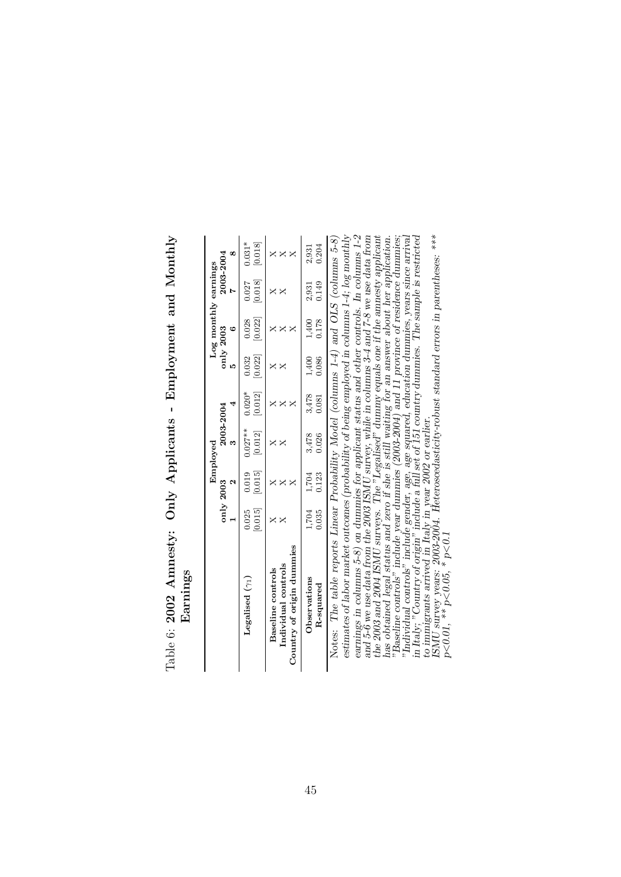| Earnings                                                              |                  |                  | Employed                |                                   |                       | Log monthly earnings          |                    |                     |
|-----------------------------------------------------------------------|------------------|------------------|-------------------------|-----------------------------------|-----------------------|-------------------------------|--------------------|---------------------|
|                                                                       |                  | only 2003        | 2003-2004<br>m          |                                   |                       | only 2003<br>¢                | 2003-2004          |                     |
| Legalised $(\gamma_1)$                                                | [0.015]<br>0.025 | [0.015]<br>0.019 | $0.027***$<br>$[0.012]$ | $0.020*$<br>$\left[ 0.012\right]$ | [0.022]<br>0.032      | 0.028<br>$\left[0.022\right]$ | $[0.018]$<br>0.027 | $0.031*$<br>[0.018] |
| Country of origin dummies<br>Individual controls<br>Baseline controls | ×                |                  | ×                       | ×<br>×                            | ×                     |                               | ×                  | $\times\times$      |
| Observations<br>R-squared                                             | 1,704<br>0.035   | 1,704<br>0.123   | 3,478<br>0.026          | $3,478$<br>$0.081$                | $\frac{1,400}{0.086}$ | 1,400<br>0.178                | 2,931<br>0.149     | 0.204<br>2,931      |

Table 6: 2002 Amnesty: Only Applicants - Employment and Monthly Table 6: 2002 Amnesty: Only Applicants - Employment and Monthly

earnings in columns 5-8) on dummies for applicat states and other controls. In columns 1-2, and 5-6 we use data from the 2003 ISMU survey, while in columns 3-4 and 7-8 we use data from the 2003 and 1004 ISMU surveys. The Notes: The table reports Linear Probability Model (columns 1-4) and OLS (columns 5-8) estimates of labor market outcomes (probability of being employed in columns 1-4; log monthly earnings in columns 5-8) on dummies for applicant status and other controls. In columns 1-2 and 5-6 we use data from the 2003 ISMU survey, while in columns 3-4 and 7-8 we use data from the 2003 ISMU survey, while in colum the 2003 and 2004 ISMU surveys. The "Legalised" dummy equals one if the amnesty applicant has obtained legal status and zero if she is still waiting for an answer about her application. "Baseline controls" include year dummies (2003-2004) and 11 province of residence dummies; "Individual controls" include gender, age, age squared, education dummies, years since arrival in Italy; "Country of origin" include a full set of 151 country dummies. The sample is restricted Notes: The table reports Linear Probability Model (columns 1-4) and OLS (columns 5-8) estimates of labor market outcomes (probability of being employed in columns 1-4; log monthly R-squared 0.035 0.123 0.026 0.081 0.086 0.178 0.149 0.204 R-squared

to immigrants arrived in Italy in year 2002 or earlier.<br>ISMU survey years: 2003-2004. Heteroscedasticity-robust standard errors in parentheses: \*\*\*  $p<0.01$ , \*\*  $p<0.05$ , \*  $p<0.1$ 

45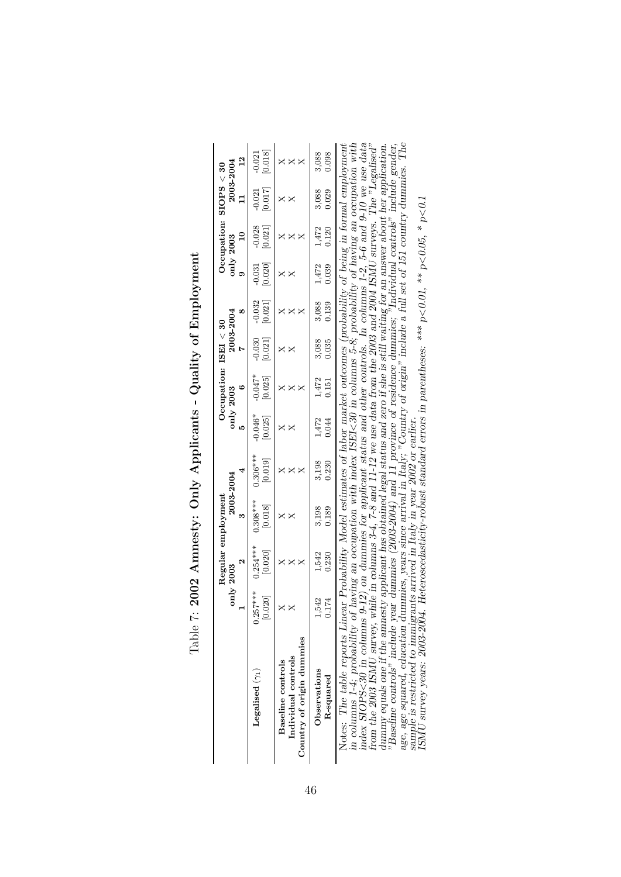|                                                                                                                                                                                              |                       | Regular employment    |                       |                       |                      | Occupation: $ISBN = 30$                                          |                     |                     |                     |                     | Occupation: $SIOPS < 30$  |                  |
|----------------------------------------------------------------------------------------------------------------------------------------------------------------------------------------------|-----------------------|-----------------------|-----------------------|-----------------------|----------------------|------------------------------------------------------------------|---------------------|---------------------|---------------------|---------------------|---------------------------|------------------|
|                                                                                                                                                                                              |                       | only 2003             |                       | $2003 - 2004$         | r.                   | only 2003                                                        | 2003-2004           |                     |                     | only 2003           | 2003-2004<br>$\mathbf{1}$ |                  |
| Legalised $(\gamma_1)$                                                                                                                                                                       | $0.257***$<br>[0.020] | $0.254***$<br>[0.020] | $0.308***$<br>[0.018] | $0.306***$<br>[0.019] | $-0.046*$<br>[0.025] | $-0.01*$<br>[0.025]                                              | $-0.030$<br>[0.021] | $-0.032$<br>[0.021] | [0.020]<br>$-0.031$ | $-0.028$<br>[150.0] | [0.017]<br>$-0.021$       | [0.018]<br>0.021 |
| Country of origin dummies<br>Individual controls<br>Baseline controls                                                                                                                        |                       | $\times$              | $\times\!\times$      | $\times$              | ×<br>$\times$        | ×                                                                | ×                   |                     |                     | ×                   | ×                         | ×<br>×           |
| Observations<br>R-squared                                                                                                                                                                    | $1,542$<br>0.174      | 1,542<br>0.230        | 3,198<br>0.189        | 3,198<br>0.230        | 1,472<br>0.044       | $1,472$<br>$0.151$                                               | $3,088$<br>$0.035$  | 3,088<br>0.139      | 1,472<br>0.039      | 1,472<br>0.120      | 3,088<br>0.029            | 3,088<br>0.098   |
| Notes: The table reports Linear Probability Model estimates of labor market outcomes (probability of being in formal employmen<br>in columns 1-4; probability of having an occupation with a |                       |                       |                       | index                 |                      | ISEI<30 in columns 5-8; probability of having an occupation with |                     |                     |                     |                     |                           |                  |

| יינים מי המיים<br>ı<br>$\mathbf{I}$<br>l<br>j |
|-----------------------------------------------|
|                                               |
| こうこうこう<br>Ì<br>ı                              |
| $\frac{1}{2}$<br>$\vdots$                     |
| うくり                                           |
| $\begin{array}{c} 0 \\ 0 \\ 1 \end{array}$    |
| י<br> <br>١                                   |

Notes: The table reports Linear Probability Model estimates of labor market outcomes (probability of being in formal employment in columns  $1-4$ ; probability of having an occupation with index ISE1<30 in columns 5-8; prob Notes: The table reports Linear Probability Model estimates of labor market outcomes (probability of being in formal employment<br>in columns 1-4; probability of having an occupation with index ISEI<30 in columns 5-8; probabi index SIOPS<30 in columns 9-12) on dummies for applicant status and other controls. In columns 1-2, 5-6 and 9-10 we use data<br>from the 2003 ISMU survey, while in columns 3-4, 7-8 and 11-12 we use data from the 2003 and 2004 dummy equals one if the amnesty applicant has obtained legal status and zero if she is still waiting for an answer about her application.<br>"Baseline controls" include year dummies (2003-2004) and 11 province of residence du sample is restricted to immigrants arrived in Italy in year 2002 or earlier.<br>ISMU survey years: 2003-2004. Heteroscedasticity-robust standard errors in parentheses: \*\*\* p<0.01, \*\* p<0.05, \* p<0.1

46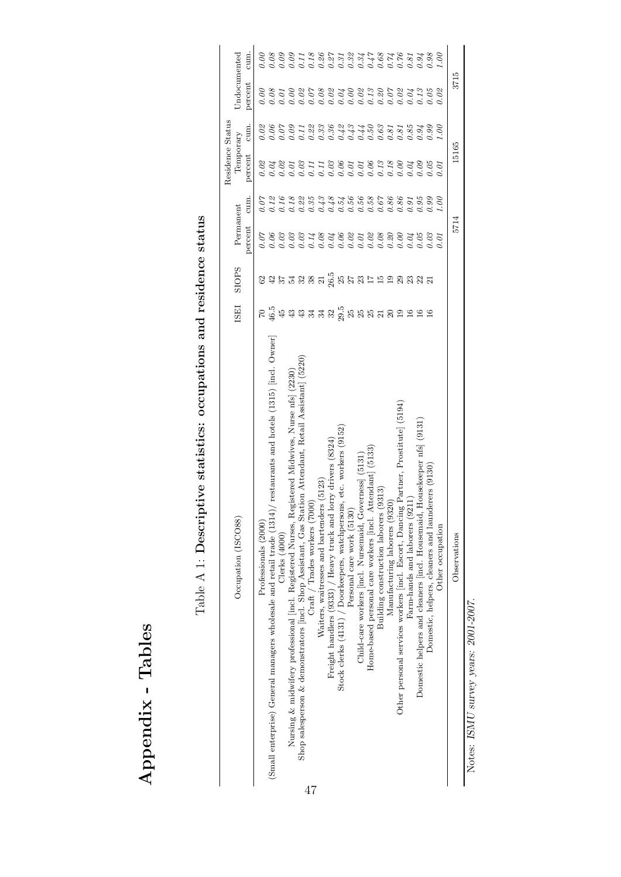| ١<br>$\frac{1}{2}$<br>Ī<br>Ĺ   |
|--------------------------------|
| ı                              |
| ֧ׅ֚֓֕֘֝֘֡֡֡֡֡֡֡֡֡֡֡֝<br>S<br>ţ |

| $\vdots$<br>I                                                                                                                                                                                                                                 |
|-----------------------------------------------------------------------------------------------------------------------------------------------------------------------------------------------------------------------------------------------|
| the conditation of control control on a control of the control of control of the control of control of control of control of control of control of control of control of control of control of control of control of control o<br>۱<br>I<br>ı |
| )<br>)<br>)                                                                                                                                                                                                                                   |
| ;<br>;<br>)<br>)<br>I                                                                                                                                                                                                                         |
| י<br>ו<br>י<br> }                                                                                                                                                                                                                             |
|                                                                                                                                                                                                                                               |

| Occupation (ISCO88)                                                                                                      | <b>ISE</b>                          | SIOPS                                  | Permanent<br>percent | cum. | Residence Status<br>Temporary<br>percent | cum.                                                                                             | Undocumented<br>percent                                                      | cum.                                                                               |
|--------------------------------------------------------------------------------------------------------------------------|-------------------------------------|----------------------------------------|----------------------|------|------------------------------------------|--------------------------------------------------------------------------------------------------|------------------------------------------------------------------------------|------------------------------------------------------------------------------------|
| Professionals (2000)                                                                                                     |                                     |                                        | 0.07                 |      | 0.02                                     |                                                                                                  | 0.00                                                                         | $\partial$ .                                                                       |
| restaurants and hotels (1315) [incl. Owner]<br>(Small enterprise) General managers wholesale and retail trade $(1314)$ , | <b>្រ</b> ូី មិនទំនង និង មិនខេត្ត ម | ន មាន យុន ន ម ដូ ម ដ ន ដ ដ ច ន ន ន ដ ដ |                      |      |                                          | 8 8 6 6 8 7 8 9 9 9 9 9 9 7 4 6 8 7 8 7 8 9 9<br>8 9 6 6 8 7 8 9 9 9 9 9 9 9 0 0 0 0 0 0 0 0 0 0 |                                                                              |                                                                                    |
| Clerks (4000)                                                                                                            |                                     |                                        |                      |      |                                          |                                                                                                  |                                                                              |                                                                                    |
| Nursing & midwifery professional [incl. Registered Nurses, Registered Midwives, Nurse nfs] (2230)                        |                                     |                                        |                      |      |                                          |                                                                                                  |                                                                              |                                                                                    |
| Shop salesperson & demonstrators [incl. Shop Assistant, Gas Station Attendant, Retail Assistant] (5220)                  |                                     |                                        |                      |      |                                          |                                                                                                  | 8 3 8 8 5 8 8 8 8 8 9 9 9 8 8 9 8 9<br>8 3 8 9 5 8 9 8 9 8 9 9 9 9 8 9 8 9 9 | 8 8 8 8 1 8 9 8 5 5 8 5 5 6 7 8 7 8 9 8 9 8<br>6 6 6 6 6 6 6 6 6 6 6 6 6 6 6 6 6 6 |
| $Craft /$ Trades workers $(7000)$                                                                                        |                                     |                                        |                      |      |                                          |                                                                                                  |                                                                              |                                                                                    |
| Waiters, waitresses and bartenders (5123)                                                                                |                                     |                                        |                      |      |                                          |                                                                                                  |                                                                              |                                                                                    |
| Freight handlers (9333) / Heavy truck and lorry drivers (8324)                                                           |                                     |                                        |                      |      |                                          |                                                                                                  |                                                                              |                                                                                    |
| Stock clerks (4131) / Doorkeepers, watchpersons, etc. workers (9152)                                                     |                                     |                                        |                      |      |                                          |                                                                                                  |                                                                              |                                                                                    |
| Personal care work (5130)                                                                                                |                                     |                                        |                      |      |                                          |                                                                                                  |                                                                              |                                                                                    |
| Child-care workers [incl. Nursemaid, Governess] (5131)                                                                   |                                     |                                        |                      |      |                                          |                                                                                                  |                                                                              |                                                                                    |
| ttendant (5133)<br>Home-based personal care workers [incl. A                                                             |                                     |                                        |                      |      |                                          |                                                                                                  |                                                                              |                                                                                    |
| (9313)<br>Building construction laborers                                                                                 |                                     |                                        |                      |      |                                          |                                                                                                  |                                                                              |                                                                                    |
| Manufacturing laborers (9320)                                                                                            | $\Omega$                            |                                        |                      |      |                                          |                                                                                                  |                                                                              |                                                                                    |
| Other personal services workers [incl. Escort, Dancing Partner, Prostitute] (5194)                                       | $\overline{5}$                      |                                        |                      |      |                                          |                                                                                                  |                                                                              |                                                                                    |
| Farm-hands and laborers (9211)                                                                                           | $\frac{6}{1}$                       |                                        |                      |      |                                          |                                                                                                  |                                                                              |                                                                                    |
| Housekeeper nfs (9131)<br>Domestic helpers and cleaners [incl. Housemaid,                                                | $\frac{6}{1}$                       |                                        |                      |      |                                          |                                                                                                  |                                                                              |                                                                                    |
| Domestic, helpers, cleaners and launderers (9130)                                                                        | 16                                  |                                        |                      | 9.99 |                                          |                                                                                                  |                                                                              |                                                                                    |
| Other occupation                                                                                                         |                                     |                                        | 0.01                 | 00.1 |                                          | 00.1                                                                                             | 0.02                                                                         | $\widetilde{so}$                                                                   |
| Observations                                                                                                             |                                     |                                        | 5714                 |      | 15165                                    |                                                                                                  | 3715                                                                         |                                                                                    |

Notes: ISMU survey years: 2001-2007. Notes: ISMU survey years: 2001-2007.